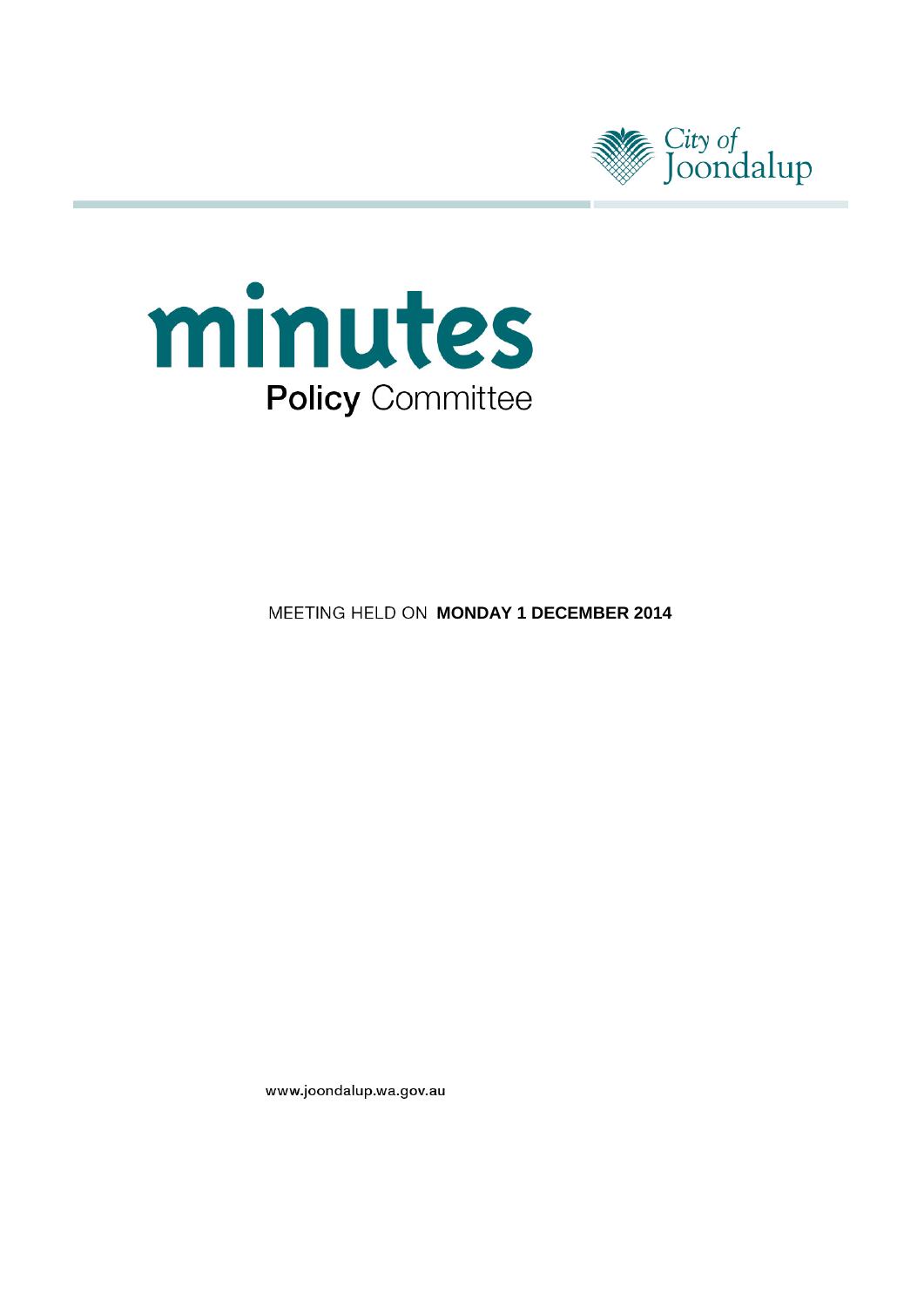



**MEETING HELD ON MONDAY 1 DECEMBER 2014** 

www.joondalup.wa.gov.au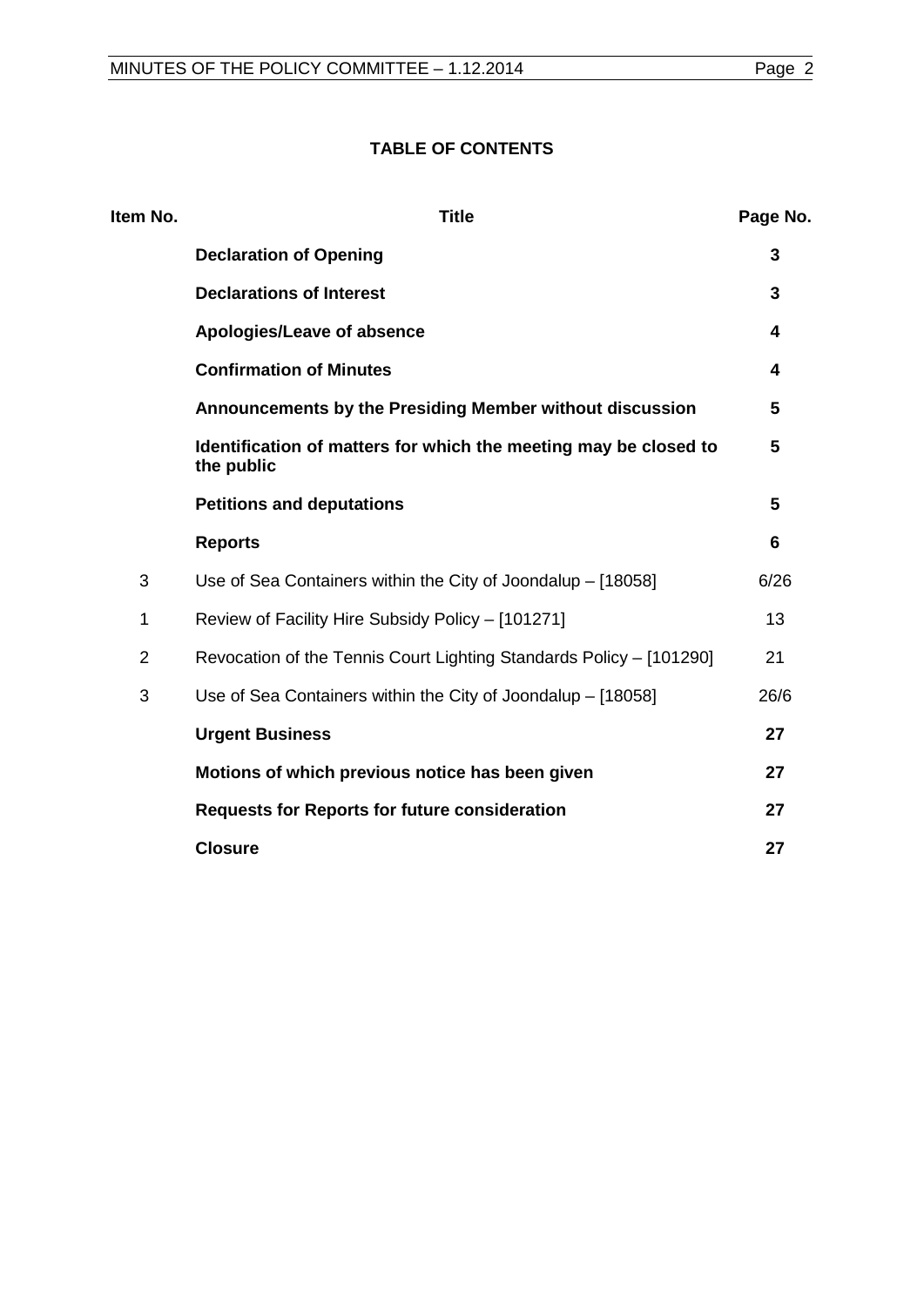# **TABLE OF CONTENTS**

| Item No.       | <b>Title</b>                                                                   | Page No. |
|----------------|--------------------------------------------------------------------------------|----------|
|                | <b>Declaration of Opening</b>                                                  | 3        |
|                | <b>Declarations of Interest</b>                                                | 3        |
|                | Apologies/Leave of absence                                                     | 4        |
|                | <b>Confirmation of Minutes</b>                                                 | 4        |
|                | Announcements by the Presiding Member without discussion                       | 5        |
|                | Identification of matters for which the meeting may be closed to<br>the public | 5        |
|                | <b>Petitions and deputations</b>                                               | 5        |
|                | <b>Reports</b>                                                                 | 6        |
| 3              | Use of Sea Containers within the City of Joondalup - [18058]                   | 6/26     |
| 1              | Review of Facility Hire Subsidy Policy - [101271]                              | 13       |
| $\overline{2}$ | Revocation of the Tennis Court Lighting Standards Policy - [101290]            | 21       |
| 3              | Use of Sea Containers within the City of Joondalup - [18058]                   | 26/6     |
|                | <b>Urgent Business</b>                                                         | 27       |
|                | Motions of which previous notice has been given                                | 27       |
|                | <b>Requests for Reports for future consideration</b>                           | 27       |
|                | <b>Closure</b>                                                                 | 27       |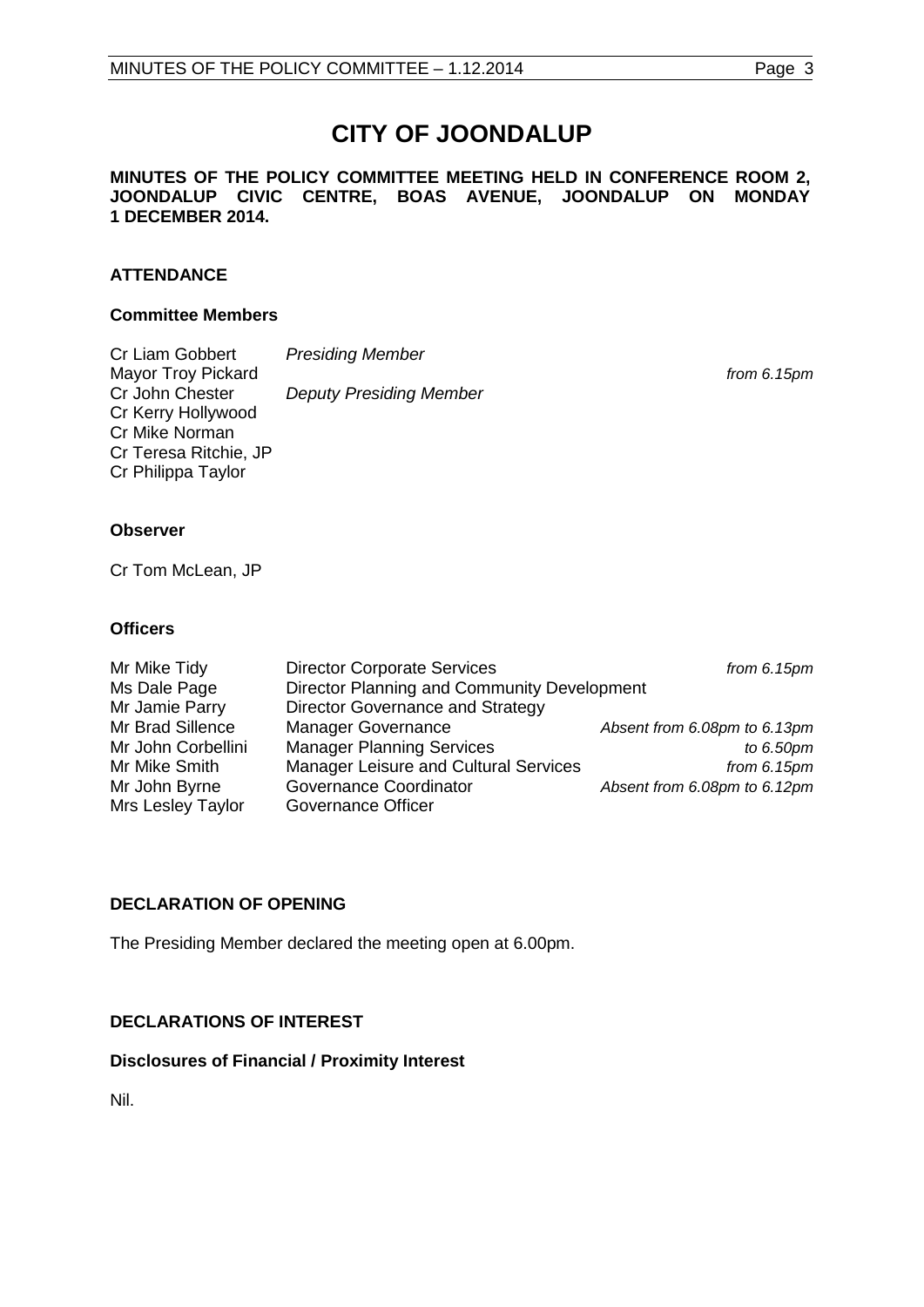# **CITY OF JOONDALUP**

#### **MINUTES OF THE POLICY COMMITTEE MEETING HELD IN CONFERENCE ROOM 2, JOONDALUP CIVIC CENTRE, BOAS AVENUE, JOONDALUP ON MONDAY 1 DECEMBER 2014.**

# **ATTENDANCE**

#### **Committee Members**

| <b>Presiding Member</b>        |               |
|--------------------------------|---------------|
|                                | from $6.15pm$ |
| <b>Deputy Presiding Member</b> |               |
|                                |               |
|                                |               |
|                                |               |
|                                |               |
|                                |               |
|                                |               |
|                                |               |

# **Observer**

Cr Tom McLean, JP

# **Officers**

| Mr Mike Tidy       | <b>Director Corporate Services</b>          | from $6.15pm$                |
|--------------------|---------------------------------------------|------------------------------|
| Ms Dale Page       | Director Planning and Community Development |                              |
| Mr Jamie Parry     | Director Governance and Strategy            |                              |
| Mr Brad Sillence   | <b>Manager Governance</b>                   | Absent from 6.08pm to 6.13pm |
| Mr John Corbellini | <b>Manager Planning Services</b>            | to 6.50pm                    |
| Mr Mike Smith      | Manager Leisure and Cultural Services       | from $6.15pm$                |
| Mr John Byrne      | <b>Governance Coordinator</b>               | Absent from 6.08pm to 6.12pm |
| Mrs Lesley Taylor  | Governance Officer                          |                              |

# <span id="page-2-0"></span>**DECLARATION OF OPENING**

The Presiding Member declared the meeting open at 6.00pm.

# <span id="page-2-1"></span>**DECLARATIONS OF INTEREST**

# **Disclosures of Financial / Proximity Interest**

Nil.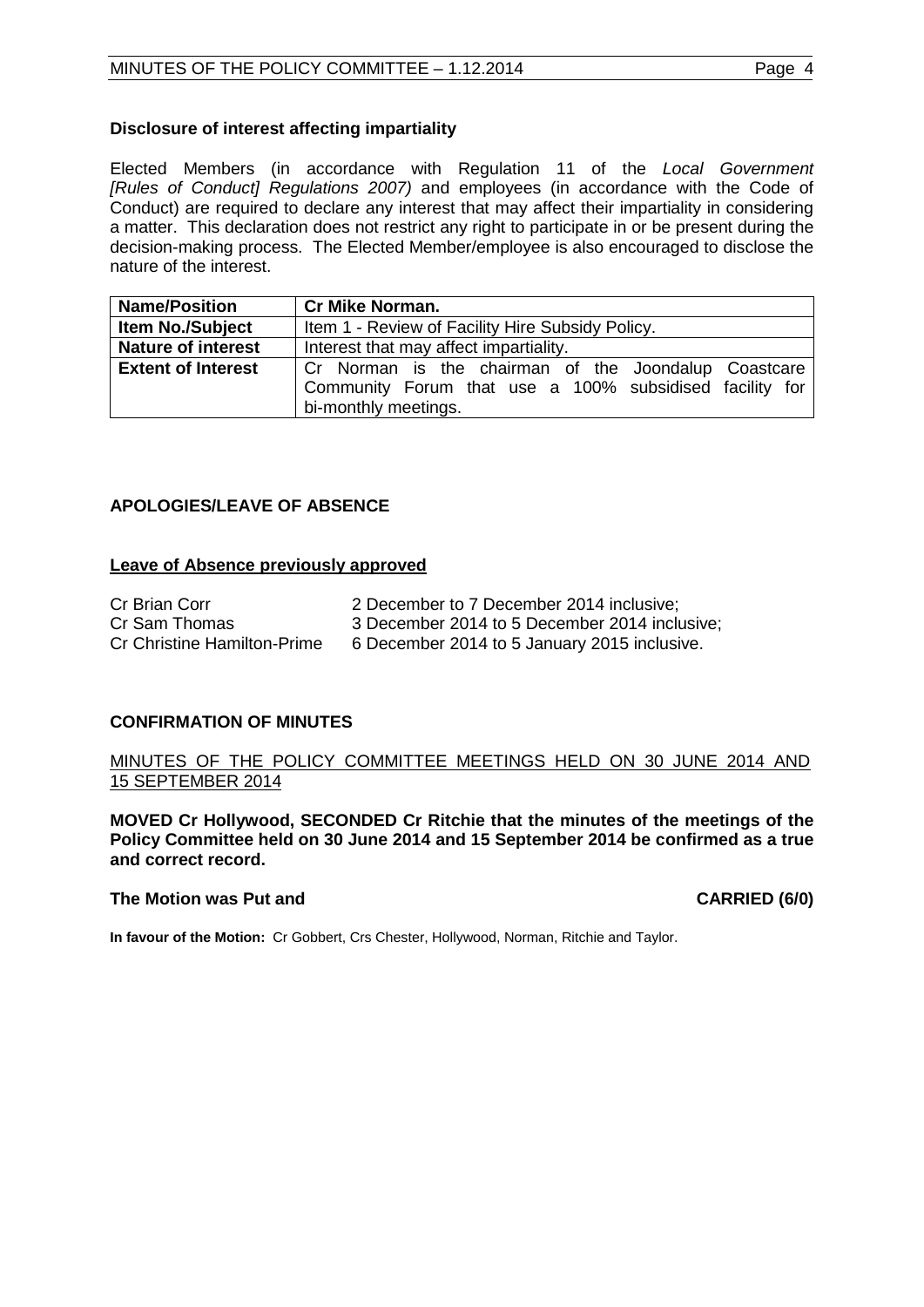#### **Disclosure of interest affecting impartiality**

Elected Members (in accordance with Regulation 11 of the *Local Government [Rules of Conduct] Regulations 2007)* and employees (in accordance with the Code of Conduct) are required to declare any interest that may affect their impartiality in considering a matter. This declaration does not restrict any right to participate in or be present during the decision-making process. The Elected Member/employee is also encouraged to disclose the nature of the interest.

| <b>Name/Position</b>      | <b>Cr Mike Norman.</b>                                  |  |  |
|---------------------------|---------------------------------------------------------|--|--|
| <b>Item No./Subject</b>   | Item 1 - Review of Facility Hire Subsidy Policy.        |  |  |
| <b>Nature of interest</b> | Interest that may affect impartiality.                  |  |  |
| <b>Extent of Interest</b> | Cr Norman is the chairman of the Joondalup Coastcare    |  |  |
|                           | Community Forum that use a 100% subsidised facility for |  |  |
|                           | bi-monthly meetings.                                    |  |  |

# <span id="page-3-0"></span>**APOLOGIES/LEAVE OF ABSENCE**

#### **Leave of Absence previously approved**

| Cr Brian Corr                      | 2 December to 7 December 2014 inclusive:      |
|------------------------------------|-----------------------------------------------|
| Cr Sam Thomas                      | 3 December 2014 to 5 December 2014 inclusive; |
| <b>Cr Christine Hamilton-Prime</b> | 6 December 2014 to 5 January 2015 inclusive.  |

# <span id="page-3-1"></span>**CONFIRMATION OF MINUTES**

# MINUTES OF THE POLICY COMMITTEE MEETINGS HELD ON 30 JUNE 2014 AND 15 SEPTEMBER 2014

**MOVED Cr Hollywood, SECONDED Cr Ritchie that the minutes of the meetings of the Policy Committee held on 30 June 2014 and 15 September 2014 be confirmed as a true and correct record.**

#### **The Motion was Put and CARRIED (6/0) CARRIED (6/0)**

**In favour of the Motion:** Cr Gobbert, Crs Chester, Hollywood, Norman, Ritchie and Taylor.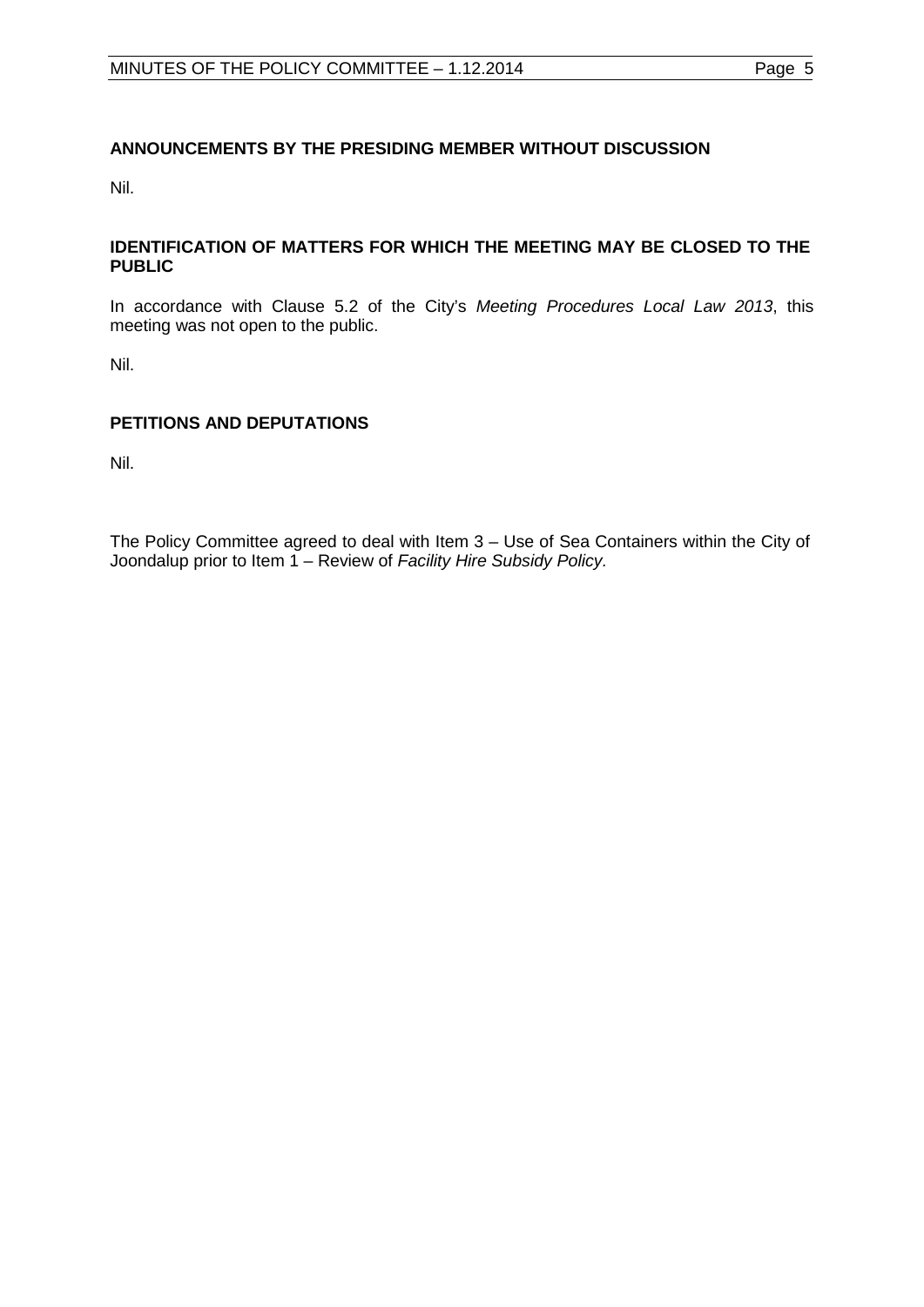# <span id="page-4-0"></span>**ANNOUNCEMENTS BY THE PRESIDING MEMBER WITHOUT DISCUSSION**

Nil.

#### <span id="page-4-1"></span>**IDENTIFICATION OF MATTERS FOR WHICH THE MEETING MAY BE CLOSED TO THE PUBLIC**

In accordance with Clause 5.2 of the City's *Meeting Procedures Local Law 2013*, this meeting was not open to the public.

Nil.

# <span id="page-4-2"></span>**PETITIONS AND DEPUTATIONS**

Nil.

The Policy Committee agreed to deal with Item 3 – Use of Sea Containers within the City of Joondalup prior to Item 1 – Review of *Facility Hire Subsidy Policy.*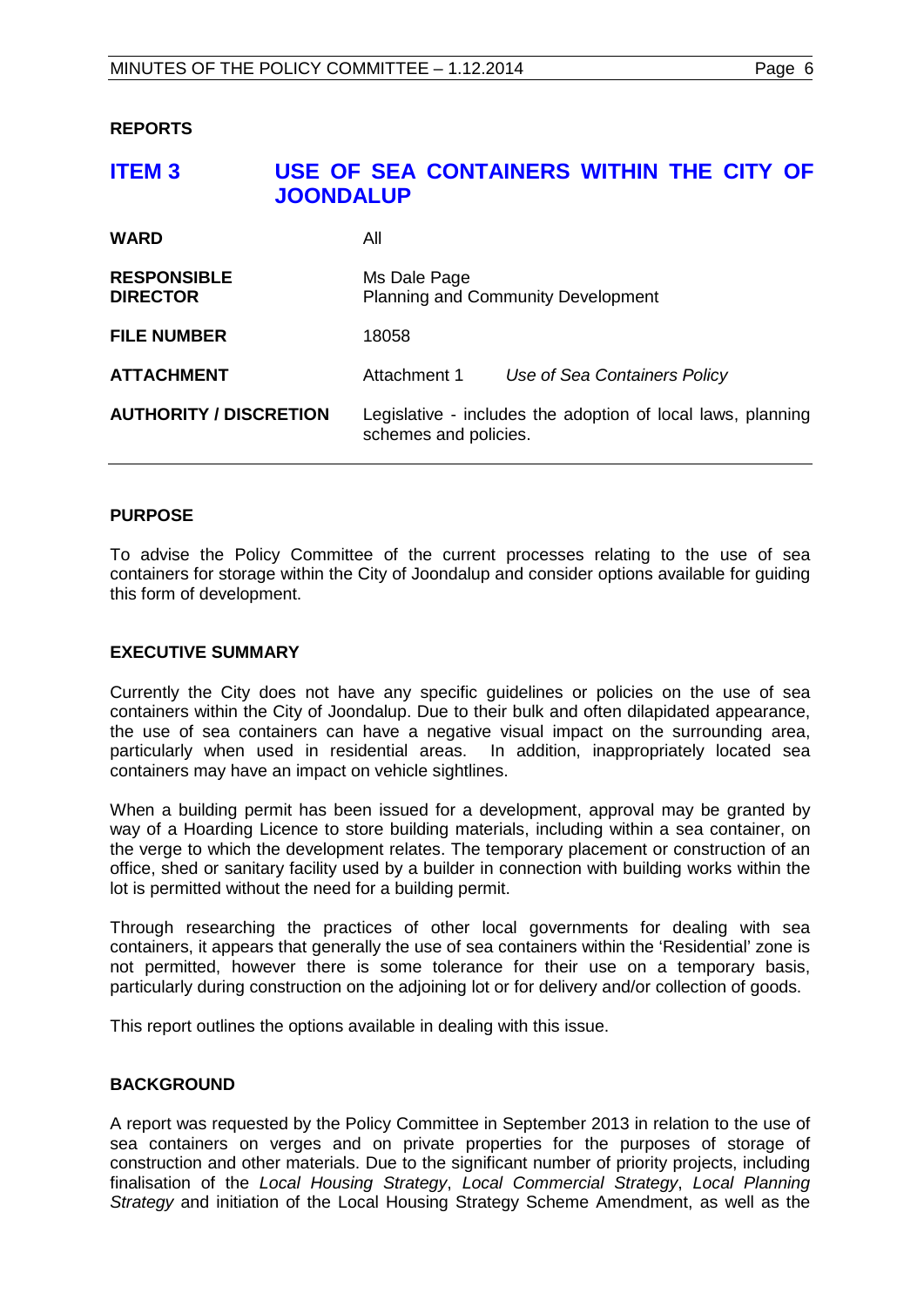#### <span id="page-5-1"></span><span id="page-5-0"></span>**REPORTS**

# **ITEM 3 USE OF SEA CONTAINERS WITHIN THE CITY OF JOONDALUP**

| <b>WARD</b>                           | All                                                       |                                                             |
|---------------------------------------|-----------------------------------------------------------|-------------------------------------------------------------|
| <b>RESPONSIBLE</b><br><b>DIRECTOR</b> | Ms Dale Page<br><b>Planning and Community Development</b> |                                                             |
| <b>FILE NUMBER</b>                    | 18058                                                     |                                                             |
| <b>ATTACHMENT</b>                     | Attachment 1                                              | Use of Sea Containers Policy                                |
| <b>AUTHORITY / DISCRETION</b>         | schemes and policies.                                     | Legislative - includes the adoption of local laws, planning |

#### **PURPOSE**

To advise the Policy Committee of the current processes relating to the use of sea containers for storage within the City of Joondalup and consider options available for guiding this form of development.

#### **EXECUTIVE SUMMARY**

Currently the City does not have any specific guidelines or policies on the use of sea containers within the City of Joondalup. Due to their bulk and often dilapidated appearance, the use of sea containers can have a negative visual impact on the surrounding area, particularly when used in residential areas. In addition, inappropriately located sea containers may have an impact on vehicle sightlines.

When a building permit has been issued for a development, approval may be granted by way of a Hoarding Licence to store building materials, including within a sea container, on the verge to which the development relates. The temporary placement or construction of an office, shed or sanitary facility used by a builder in connection with building works within the lot is permitted without the need for a building permit.

Through researching the practices of other local governments for dealing with sea containers, it appears that generally the use of sea containers within the 'Residential' zone is not permitted, however there is some tolerance for their use on a temporary basis, particularly during construction on the adjoining lot or for delivery and/or collection of goods.

This report outlines the options available in dealing with this issue.

# **BACKGROUND**

A report was requested by the Policy Committee in September 2013 in relation to the use of sea containers on verges and on private properties for the purposes of storage of construction and other materials. Due to the significant number of priority projects, including finalisation of the *Local Housing Strategy*, *Local Commercial Strategy*, *Local Planning Strategy* and initiation of the Local Housing Strategy Scheme Amendment, as well as the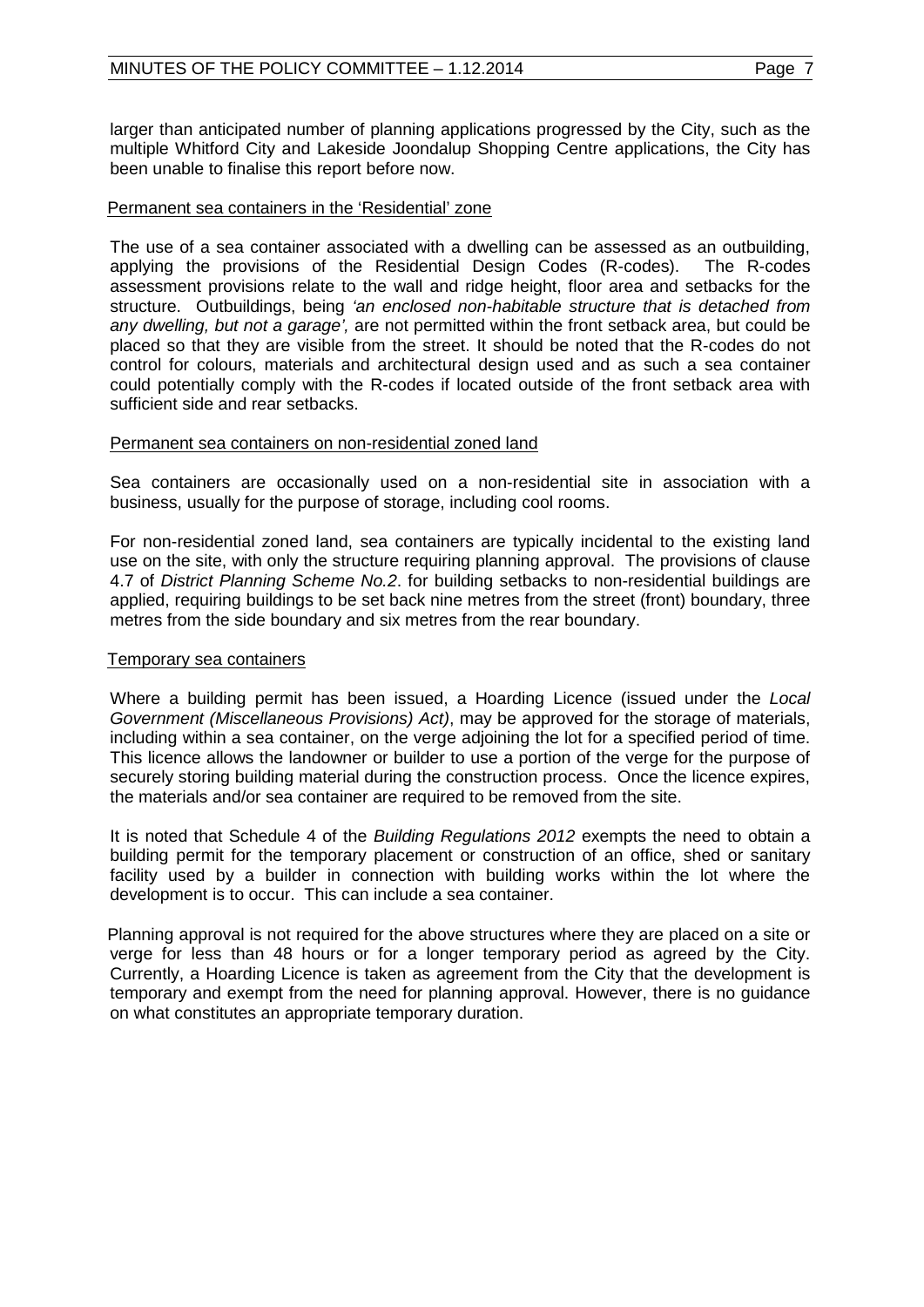larger than anticipated number of planning applications progressed by the City, such as the multiple Whitford City and Lakeside Joondalup Shopping Centre applications, the City has been unable to finalise this report before now.

#### Permanent sea containers in the 'Residential' zone

The use of a sea container associated with a dwelling can be assessed as an outbuilding, applying the provisions of the Residential Design Codes (R-codes). The R-codes applying the provisions of the Residential Design Codes (R-codes). assessment provisions relate to the wall and ridge height, floor area and setbacks for the structure. Outbuildings, being *'an enclosed non-habitable structure that is detached from any dwelling, but not a garage',* are not permitted within the front setback area, but could be placed so that they are visible from the street. It should be noted that the R-codes do not control for colours, materials and architectural design used and as such a sea container could potentially comply with the R-codes if located outside of the front setback area with sufficient side and rear setbacks.

#### Permanent sea containers on non-residential zoned land

Sea containers are occasionally used on a non-residential site in association with a business, usually for the purpose of storage, including cool rooms.

For non-residential zoned land, sea containers are typically incidental to the existing land use on the site, with only the structure requiring planning approval. The provisions of clause 4.7 of *District Planning Scheme No.2*. for building setbacks to non-residential buildings are applied, requiring buildings to be set back nine metres from the street (front) boundary, three metres from the side boundary and six metres from the rear boundary.

#### Temporary sea containers

Where a building permit has been issued, a Hoarding Licence (issued under the *Local Government (Miscellaneous Provisions) Act)*, may be approved for the storage of materials, including within a sea container, on the verge adjoining the lot for a specified period of time. This licence allows the landowner or builder to use a portion of the verge for the purpose of securely storing building material during the construction process. Once the licence expires, the materials and/or sea container are required to be removed from the site.

It is noted that Schedule 4 of the *Building Regulations 2012* exempts the need to obtain a building permit for the temporary placement or construction of an office, shed or sanitary facility used by a builder in connection with building works within the lot where the development is to occur. This can include a sea container.

Planning approval is not required for the above structures where they are placed on a site or verge for less than 48 hours or for a longer temporary period as agreed by the City. Currently, a Hoarding Licence is taken as agreement from the City that the development is temporary and exempt from the need for planning approval. However, there is no guidance on what constitutes an appropriate temporary duration.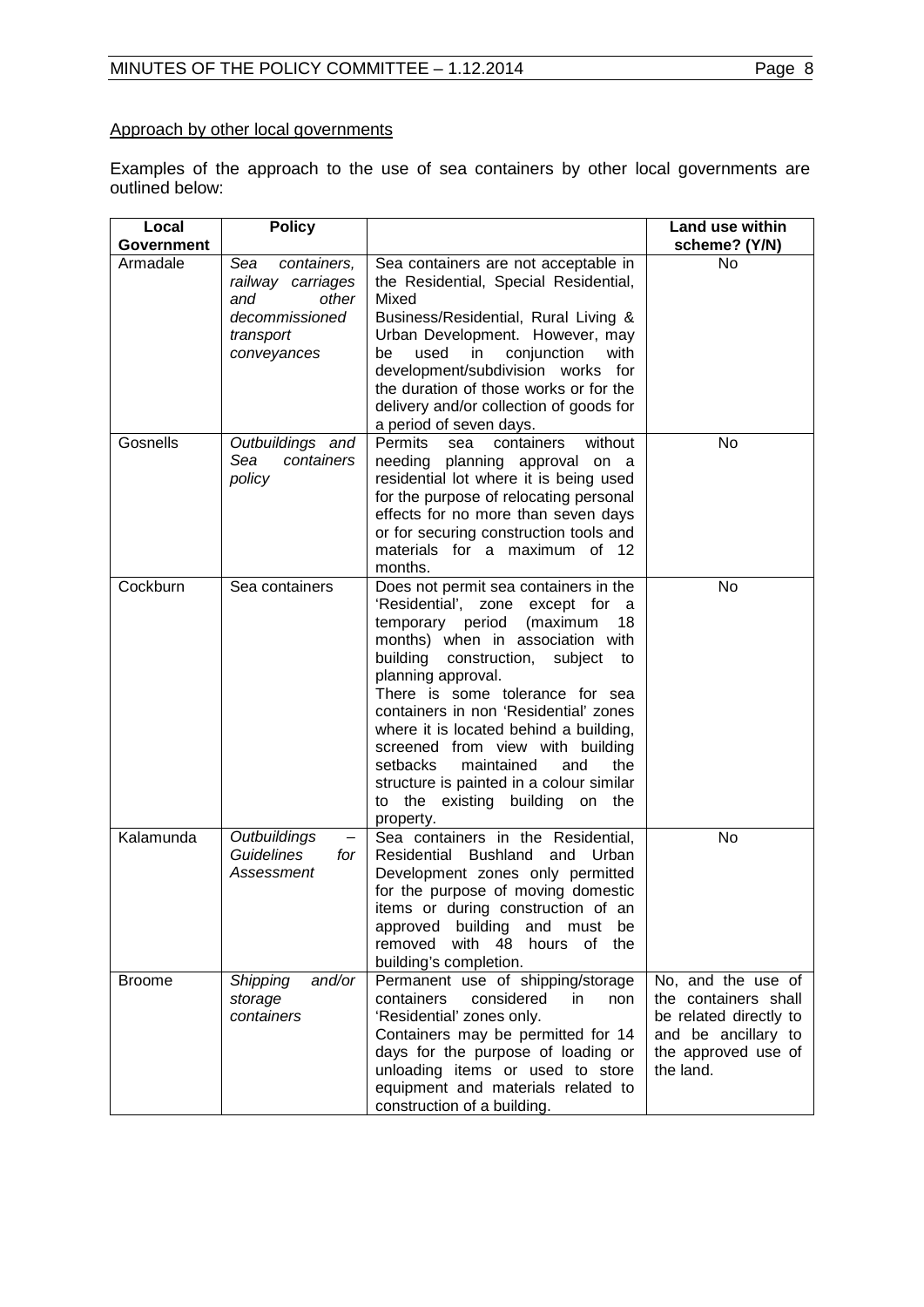# Approach by other local governments

Examples of the approach to the use of sea containers by other local governments are outlined below:

| Local         | <b>Policy</b>                                                                                         |                                                                                                                                                                                                                                                                                                                                                                                                                                                                                                                      | Land use within                                                                                                                 |
|---------------|-------------------------------------------------------------------------------------------------------|----------------------------------------------------------------------------------------------------------------------------------------------------------------------------------------------------------------------------------------------------------------------------------------------------------------------------------------------------------------------------------------------------------------------------------------------------------------------------------------------------------------------|---------------------------------------------------------------------------------------------------------------------------------|
| Government    |                                                                                                       |                                                                                                                                                                                                                                                                                                                                                                                                                                                                                                                      | scheme? (Y/N)                                                                                                                   |
| Armadale      | Sea<br>containers,<br>railway carriages<br>and<br>other<br>decommissioned<br>transport<br>conveyances | Sea containers are not acceptable in<br>the Residential, Special Residential,<br>Mixed<br>Business/Residential, Rural Living &<br>Urban Development. However, may<br>used<br>conjunction<br>be<br>in<br>with<br>development/subdivision works for<br>the duration of those works or for the<br>delivery and/or collection of goods for<br>a period of seven days.                                                                                                                                                    | <b>No</b>                                                                                                                       |
| Gosnells      | Outbuildings and<br>Sea<br>containers<br>policy                                                       | without<br><b>Permits</b><br>containers<br>sea<br>needing planning approval on a<br>residential lot where it is being used<br>for the purpose of relocating personal<br>effects for no more than seven days<br>or for securing construction tools and<br>materials for a maximum of 12<br>months.                                                                                                                                                                                                                    | No                                                                                                                              |
| Cockburn      | Sea containers                                                                                        | Does not permit sea containers in the<br>'Residential', zone except for<br>- a<br>temporary period<br>(maximum<br>18<br>months) when in association with<br>building construction, subject<br>to<br>planning approval.<br>There is some tolerance for sea<br>containers in non 'Residential' zones<br>where it is located behind a building,<br>screened from view with building<br>setbacks<br>maintained<br>and<br>the<br>structure is painted in a colour similar<br>to the existing building on the<br>property. | No                                                                                                                              |
| Kalamunda     | Outbuildings<br>Guidelines<br>for<br>Assessment                                                       | Sea containers in the Residential,<br>Residential Bushland<br>and Urban<br>Development zones only permitted<br>for the purpose of moving domestic<br>items or during construction of an<br>approved building and must be<br>removed with 48 hours of the<br>building's completion.                                                                                                                                                                                                                                   | No                                                                                                                              |
| <b>Broome</b> | and/or<br><b>Shipping</b><br>storage<br>containers                                                    | Permanent use of shipping/storage<br>containers<br>considered<br>in<br>non<br>'Residential' zones only.<br>Containers may be permitted for 14<br>days for the purpose of loading or<br>unloading items or used to store<br>equipment and materials related to<br>construction of a building.                                                                                                                                                                                                                         | No, and the use of<br>the containers shall<br>be related directly to<br>and be ancillary to<br>the approved use of<br>the land. |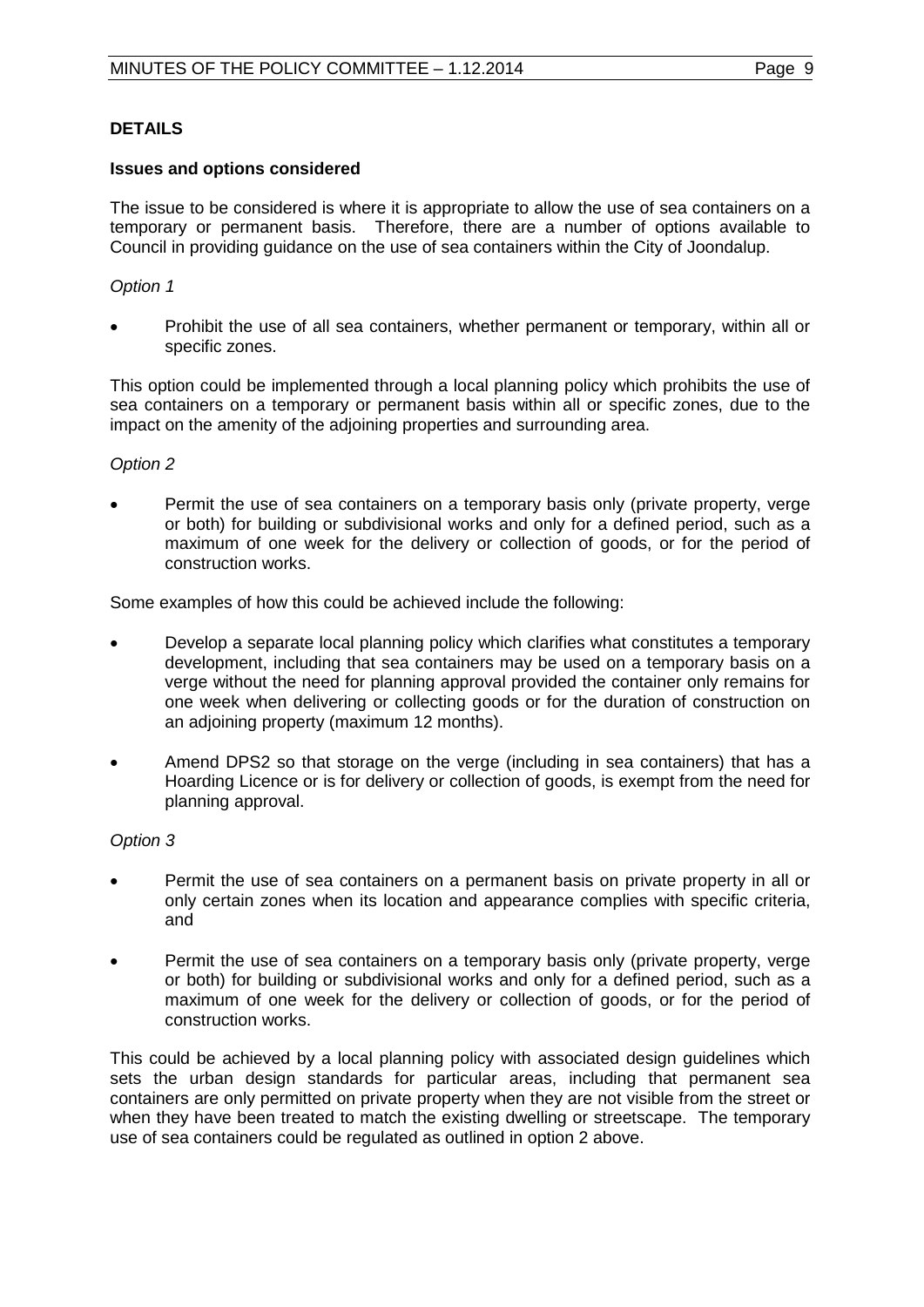# **DETAILS**

#### **Issues and options considered**

The issue to be considered is where it is appropriate to allow the use of sea containers on a temporary or permanent basis. Therefore, there are a number of options available to Council in providing guidance on the use of sea containers within the City of Joondalup.

#### *Option 1*

• Prohibit the use of all sea containers, whether permanent or temporary, within all or specific zones.

This option could be implemented through a local planning policy which prohibits the use of sea containers on a temporary or permanent basis within all or specific zones, due to the impact on the amenity of the adjoining properties and surrounding area.

#### *Option 2*

• Permit the use of sea containers on a temporary basis only (private property, verge or both) for building or subdivisional works and only for a defined period, such as a maximum of one week for the delivery or collection of goods, or for the period of construction works.

Some examples of how this could be achieved include the following:

- Develop a separate local planning policy which clarifies what constitutes a temporary development, including that sea containers may be used on a temporary basis on a verge without the need for planning approval provided the container only remains for one week when delivering or collecting goods or for the duration of construction on an adjoining property (maximum 12 months).
- Amend DPS2 so that storage on the verge (including in sea containers) that has a Hoarding Licence or is for delivery or collection of goods, is exempt from the need for planning approval.

# *Option 3*

- Permit the use of sea containers on a permanent basis on private property in all or only certain zones when its location and appearance complies with specific criteria, and
- Permit the use of sea containers on a temporary basis only (private property, verge or both) for building or subdivisional works and only for a defined period, such as a maximum of one week for the delivery or collection of goods, or for the period of construction works.

This could be achieved by a local planning policy with associated design guidelines which sets the urban design standards for particular areas, including that permanent sea containers are only permitted on private property when they are not visible from the street or when they have been treated to match the existing dwelling or streetscape. The temporary use of sea containers could be regulated as outlined in option 2 above.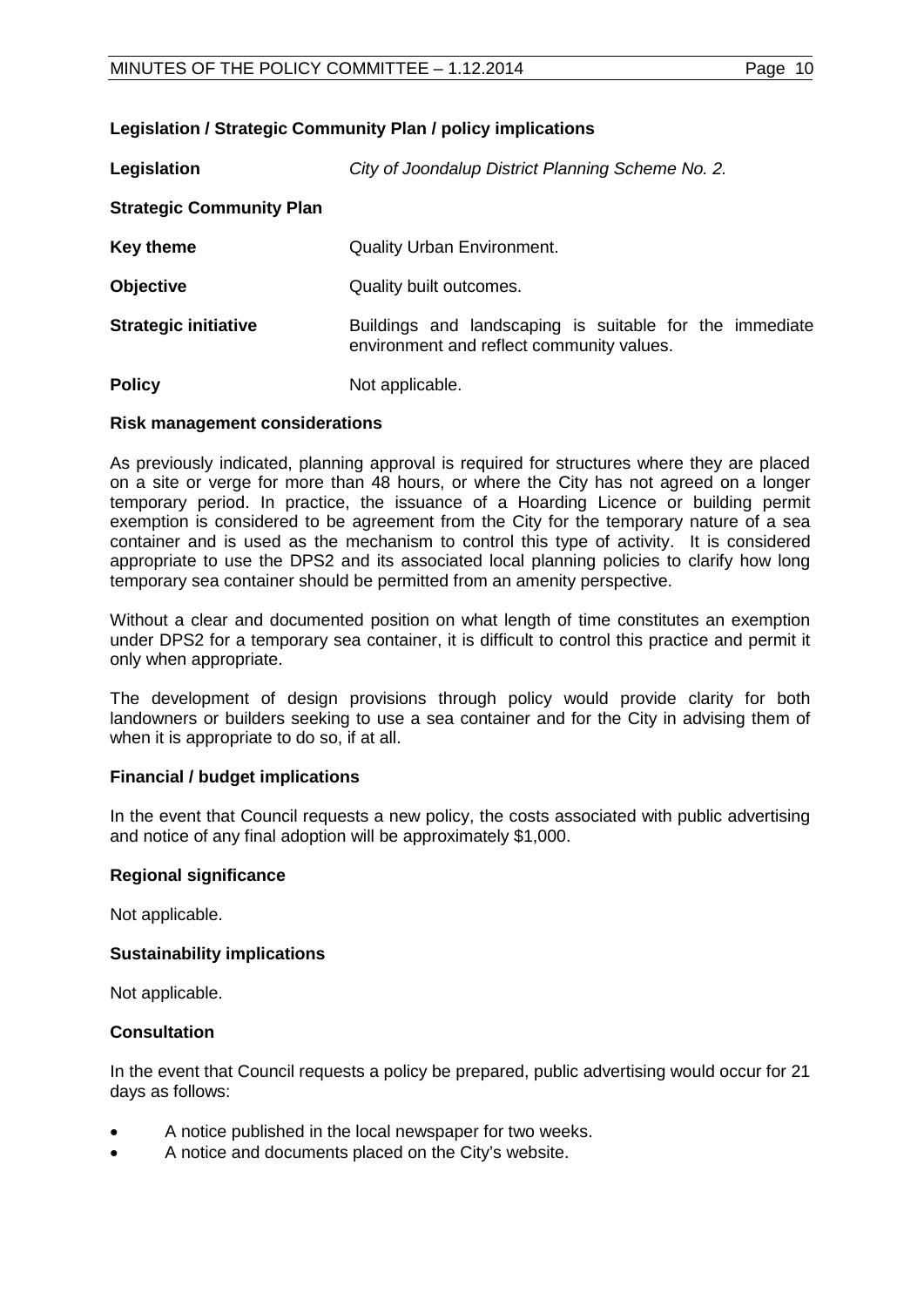# **Legislation / Strategic Community Plan / policy implications**

**Legislation** *City of Joondalup District Planning Scheme No. 2.* **Strategic Community Plan Key theme Cuality Urban Environment. Objective** Quality built outcomes. **Strategic initiative Buildings** and landscaping is suitable for the immediate environment and reflect community values. **Policy** Not applicable.

#### **Risk management considerations**

As previously indicated, planning approval is required for structures where they are placed on a site or verge for more than 48 hours, or where the City has not agreed on a longer temporary period. In practice, the issuance of a Hoarding Licence or building permit exemption is considered to be agreement from the City for the temporary nature of a sea container and is used as the mechanism to control this type of activity. It is considered appropriate to use the DPS2 and its associated local planning policies to clarify how long temporary sea container should be permitted from an amenity perspective.

Without a clear and documented position on what length of time constitutes an exemption under DPS2 for a temporary sea container, it is difficult to control this practice and permit it only when appropriate.

The development of design provisions through policy would provide clarity for both landowners or builders seeking to use a sea container and for the City in advising them of when it is appropriate to do so, if at all.

# **Financial / budget implications**

In the event that Council requests a new policy, the costs associated with public advertising and notice of any final adoption will be approximately \$1,000.

#### **Regional significance**

Not applicable.

#### **Sustainability implications**

Not applicable.

#### **Consultation**

In the event that Council requests a policy be prepared, public advertising would occur for 21 days as follows:

- A notice published in the local newspaper for two weeks.
- A notice and documents placed on the City's website.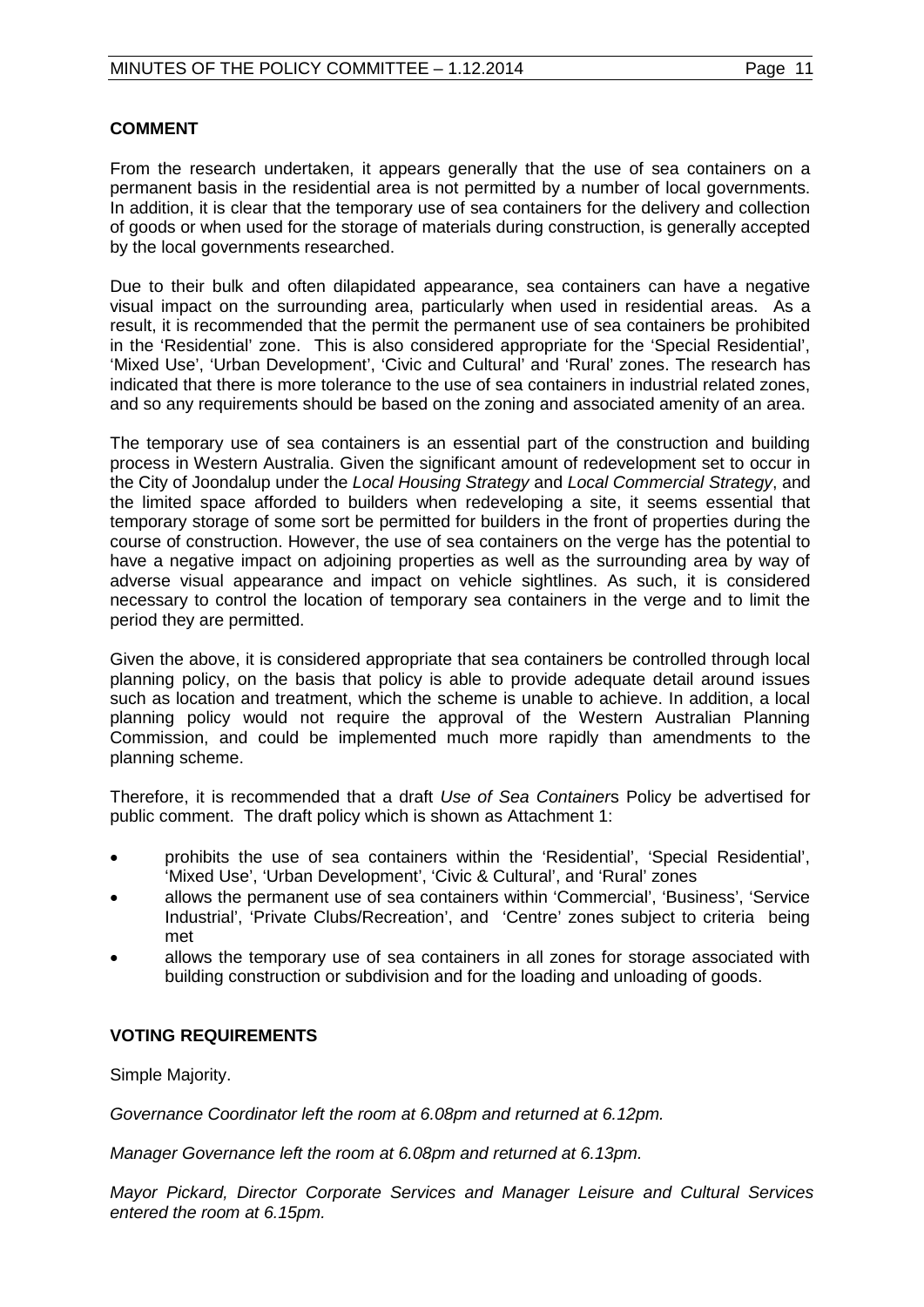#### **COMMENT**

From the research undertaken, it appears generally that the use of sea containers on a permanent basis in the residential area is not permitted by a number of local governments. In addition, it is clear that the temporary use of sea containers for the delivery and collection of goods or when used for the storage of materials during construction, is generally accepted by the local governments researched.

Due to their bulk and often dilapidated appearance, sea containers can have a negative visual impact on the surrounding area, particularly when used in residential areas. As a result, it is recommended that the permit the permanent use of sea containers be prohibited in the 'Residential' zone. This is also considered appropriate for the 'Special Residential', 'Mixed Use', 'Urban Development', 'Civic and Cultural' and 'Rural' zones. The research has indicated that there is more tolerance to the use of sea containers in industrial related zones, and so any requirements should be based on the zoning and associated amenity of an area.

The temporary use of sea containers is an essential part of the construction and building process in Western Australia. Given the significant amount of redevelopment set to occur in the City of Joondalup under the *Local Housing Strategy* and *Local Commercial Strategy*, and the limited space afforded to builders when redeveloping a site, it seems essential that temporary storage of some sort be permitted for builders in the front of properties during the course of construction. However, the use of sea containers on the verge has the potential to have a negative impact on adjoining properties as well as the surrounding area by way of adverse visual appearance and impact on vehicle sightlines. As such, it is considered necessary to control the location of temporary sea containers in the verge and to limit the period they are permitted.

Given the above, it is considered appropriate that sea containers be controlled through local planning policy, on the basis that policy is able to provide adequate detail around issues such as location and treatment, which the scheme is unable to achieve. In addition, a local planning policy would not require the approval of the Western Australian Planning Commission, and could be implemented much more rapidly than amendments to the planning scheme.

Therefore, it is recommended that a draft *Use of Sea Container*s Policy be advertised for public comment. The draft policy which is shown as Attachment 1:

- prohibits the use of sea containers within the 'Residential', 'Special Residential', 'Mixed Use', 'Urban Development', 'Civic & Cultural', and 'Rural' zones
- allows the permanent use of sea containers within 'Commercial', 'Business', 'Service Industrial', 'Private Clubs/Recreation', and 'Centre' zones subject to criteria being met
- allows the temporary use of sea containers in all zones for storage associated with building construction or subdivision and for the loading and unloading of goods.

# **VOTING REQUIREMENTS**

Simple Majority.

*Governance Coordinator left the room at 6.08pm and returned at 6.12pm.*

*Manager Governance left the room at 6.08pm and returned at 6.13pm.*

*Mayor Pickard, Director Corporate Services and Manager Leisure and Cultural Services entered the room at 6.15pm.*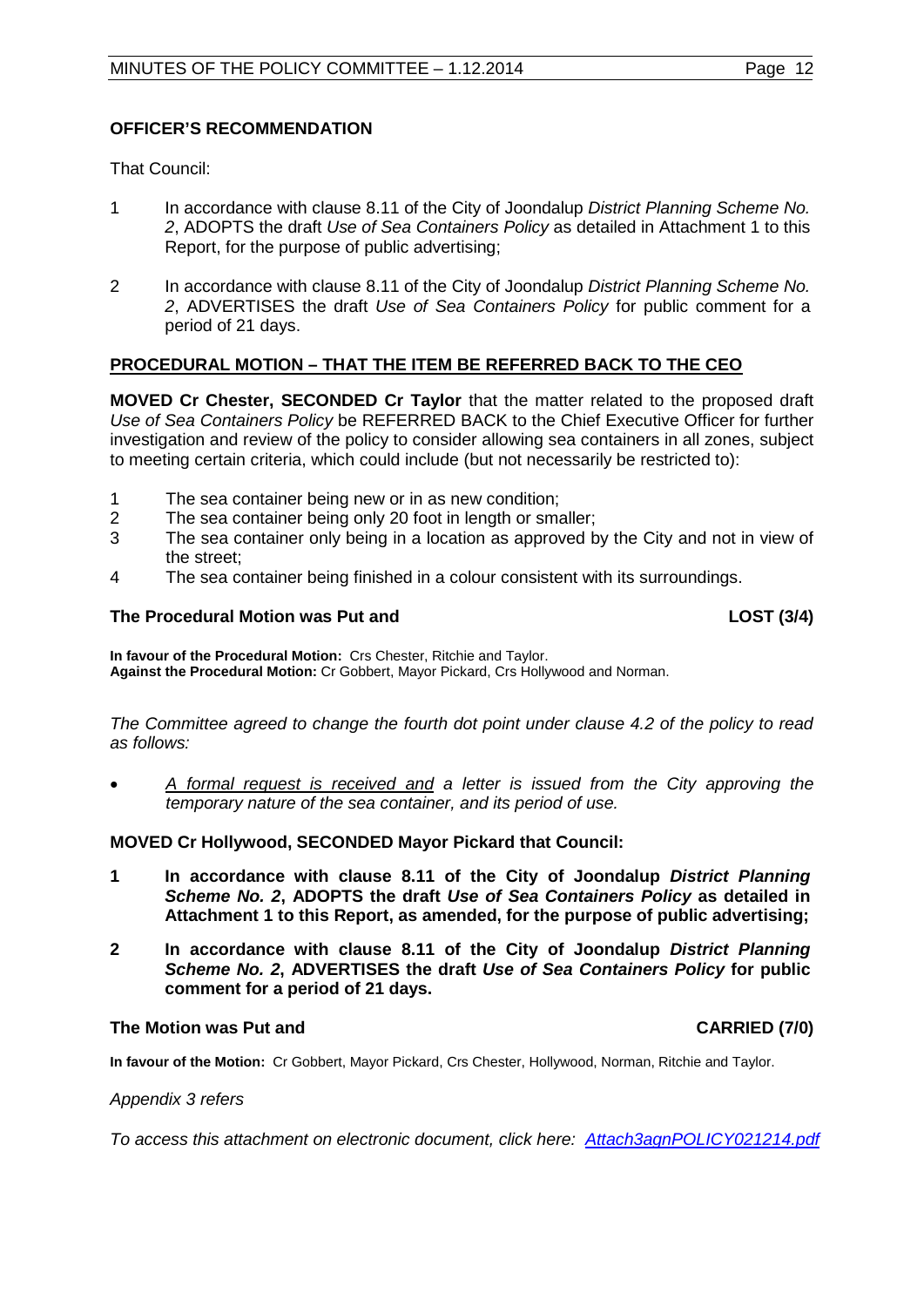# **OFFICER'S RECOMMENDATION**

That Council:

- 1 In accordance with clause 8.11 of the City of Joondalup *District Planning Scheme No. 2*, ADOPTS the draft *Use of Sea Containers Policy* as detailed in Attachment 1 to this Report, for the purpose of public advertising;
- 2 In accordance with clause 8.11 of the City of Joondalup *District Planning Scheme No. 2*, ADVERTISES the draft *Use of Sea Containers Policy* for public comment for a period of 21 days.

# **PROCEDURAL MOTION – THAT THE ITEM BE REFERRED BACK TO THE CEO**

**MOVED Cr Chester, SECONDED Cr Taylor** that the matter related to the proposed draft *Use of Sea Containers Policy* be REFERRED BACK to the Chief Executive Officer for further investigation and review of the policy to consider allowing sea containers in all zones, subject to meeting certain criteria, which could include (but not necessarily be restricted to):

- 1 The sea container being new or in as new condition;<br>2 The sea container being only 20 foot in length or sma
- 2 The sea container being only 20 foot in length or smaller;<br>3 The sea container only being in a location as approved b
- The sea container only being in a location as approved by the City and not in view of the street;
- 4 The sea container being finished in a colour consistent with its surroundings.

#### The Procedural Motion was Put and **LOST** (3/4)

**In favour of the Procedural Motion:** Crs Chester, Ritchie and Taylor. **Against the Procedural Motion:** Cr Gobbert, Mayor Pickard, Crs Hollywood and Norman.

*The Committee agreed to change the fourth dot point under clause 4.2 of the policy to read as follows:*

• *A formal request is received and a letter is issued from the City approving the temporary nature of the sea container, and its period of use.*

# **MOVED Cr Hollywood, SECONDED Mayor Pickard that Council:**

- **1 In accordance with clause 8.11 of the City of Joondalup** *District Planning Scheme No. 2***, ADOPTS the draft** *Use of Sea Containers Policy* **as detailed in Attachment 1 to this Report, as amended, for the purpose of public advertising;**
- **2 In accordance with clause 8.11 of the City of Joondalup** *District Planning Scheme No. 2***, ADVERTISES the draft** *Use of Sea Containers Policy* **for public comment for a period of 21 days.**

#### **The Motion was Put and CARRIED (7/0) CARRIED (7/0)**

**In favour of the Motion:** Cr Gobbert, Mayor Pickard, Crs Chester, Hollywood, Norman, Ritchie and Taylor.

#### *Appendix 3 refers*

*To access this attachment on electronic document, click her[e: Attach3agnPOLICY021214.pdf](http://www.joondalup.wa.gov.au/files/committees/POLI/2014/Attach3agnPOLICY021214.pdf)*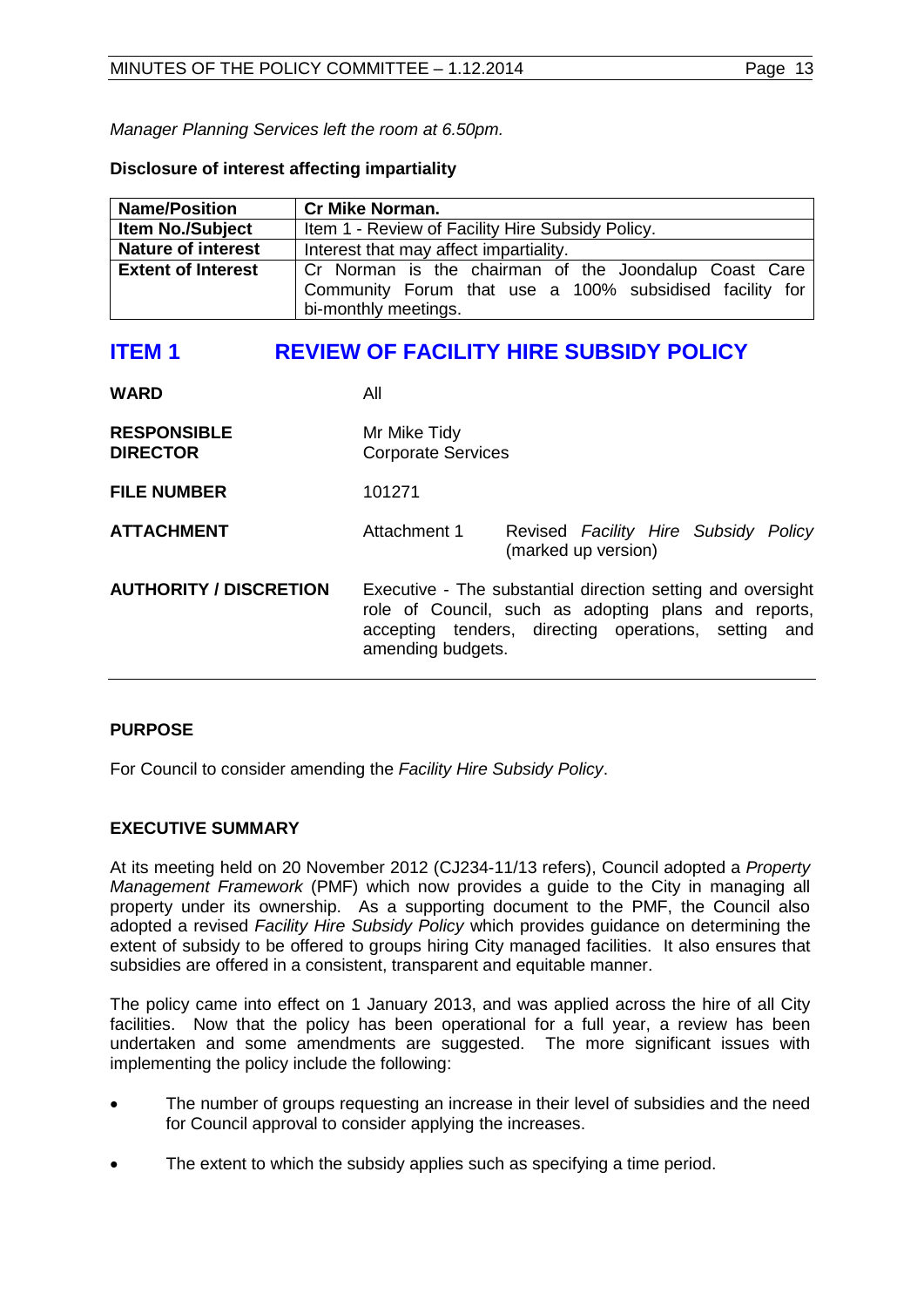*Manager Planning Services left the room at 6.50pm.*

# **Disclosure of interest affecting impartiality**

| <b>Name/Position</b>      | <b>Cr Mike Norman.</b>                                  |
|---------------------------|---------------------------------------------------------|
| <b>Item No./Subject</b>   | Item 1 - Review of Facility Hire Subsidy Policy.        |
| <b>Nature of interest</b> | Interest that may affect impartiality.                  |
| <b>Extent of Interest</b> | Cr Norman is the chairman of the Joondalup Coast Care   |
|                           | Community Forum that use a 100% subsidised facility for |
|                           | bi-monthly meetings.                                    |

# <span id="page-12-0"></span>**ITEM 1 REVIEW OF FACILITY HIRE SUBSIDY POLICY**

**WARD** All

| <b>RESPONSIBLE</b> | Mr Mike Tidy              |
|--------------------|---------------------------|
| <b>DIRECTOR</b>    | <b>Corporate Services</b> |
|                    |                           |

**FILE NUMBER** 101271

**ATTACHMENT** Attachment 1 Revised *Facility Hire Subsidy Policy* (marked up version)

**AUTHORITY / DISCRETION** Executive - The substantial direction setting and oversight role of Council, such as adopting plans and reports, accepting tenders, directing operations, setting and amending budgets.

# **PURPOSE**

For Council to consider amending the *Facility Hire Subsidy Policy*.

# **EXECUTIVE SUMMARY**

At its meeting held on 20 November 2012 (CJ234-11/13 refers), Council adopted a *Property Management Framework* (PMF) which now provides a guide to the City in managing all property under its ownership. As a supporting document to the PMF, the Council also adopted a revised *Facility Hire Subsidy Policy* which provides guidance on determining the extent of subsidy to be offered to groups hiring City managed facilities. It also ensures that subsidies are offered in a consistent, transparent and equitable manner.

The policy came into effect on 1 January 2013, and was applied across the hire of all City facilities. Now that the policy has been operational for a full year, a review has been undertaken and some amendments are suggested. The more significant issues with implementing the policy include the following:

- The number of groups requesting an increase in their level of subsidies and the need for Council approval to consider applying the increases.
- The extent to which the subsidy applies such as specifying a time period.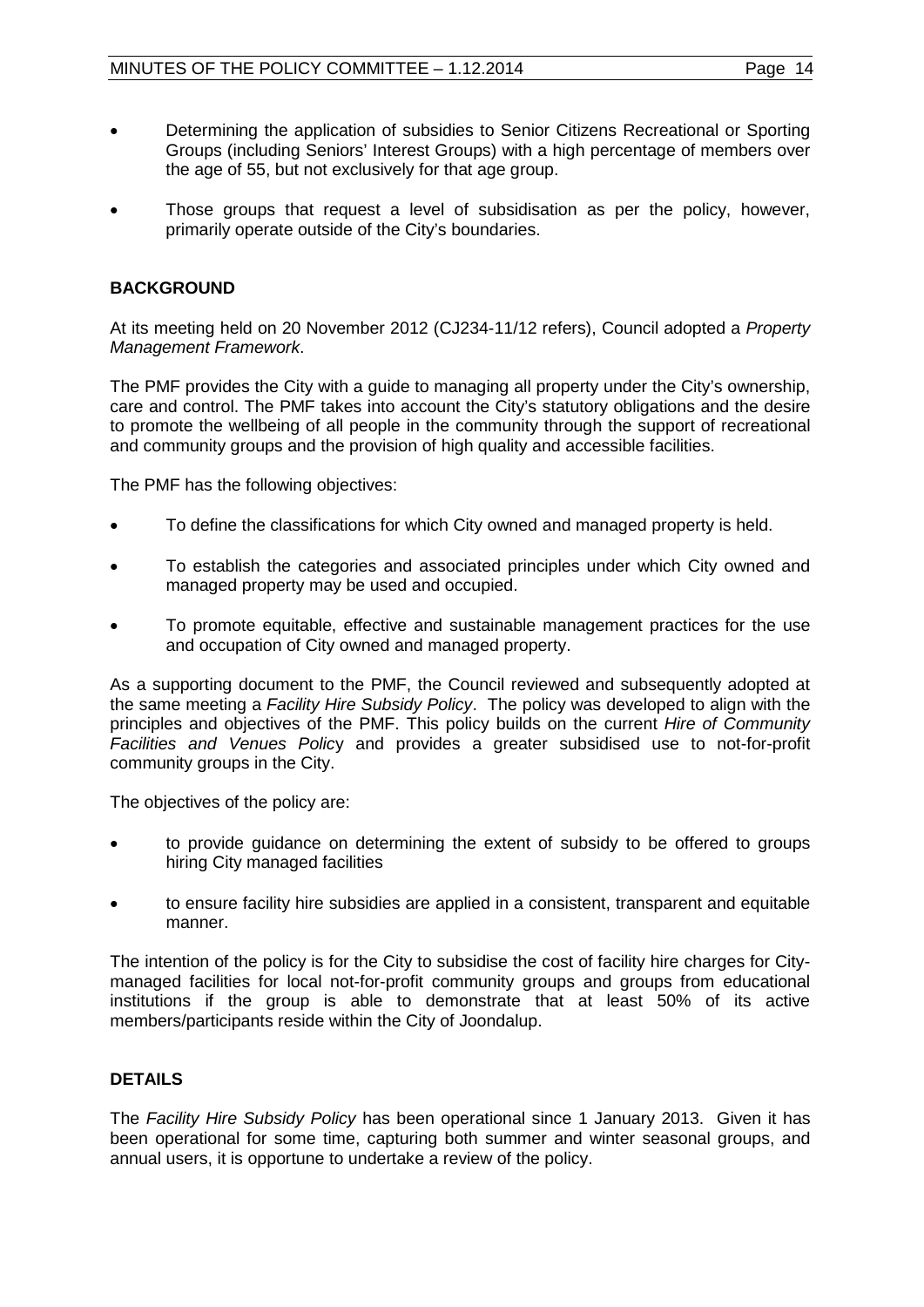- Determining the application of subsidies to Senior Citizens Recreational or Sporting Groups (including Seniors' Interest Groups) with a high percentage of members over the age of 55, but not exclusively for that age group.
- Those groups that request a level of subsidisation as per the policy, however, primarily operate outside of the City's boundaries.

# **BACKGROUND**

At its meeting held on 20 November 2012 (CJ234-11/12 refers), Council adopted a *Property Management Framework*.

The PMF provides the City with a guide to managing all property under the City's ownership, care and control. The PMF takes into account the City's statutory obligations and the desire to promote the wellbeing of all people in the community through the support of recreational and community groups and the provision of high quality and accessible facilities.

The PMF has the following objectives:

- To define the classifications for which City owned and managed property is held.
- To establish the categories and associated principles under which City owned and managed property may be used and occupied.
- To promote equitable, effective and sustainable management practices for the use and occupation of City owned and managed property.

As a supporting document to the PMF, the Council reviewed and subsequently adopted at the same meeting a *Facility Hire Subsidy Policy*. The policy was developed to align with the principles and objectives of the PMF. This policy builds on the current *Hire of Community Facilities and Venues Polic*y and provides a greater subsidised use to not-for-profit community groups in the City.

The objectives of the policy are:

- to provide guidance on determining the extent of subsidy to be offered to groups hiring City managed facilities
- to ensure facility hire subsidies are applied in a consistent, transparent and equitable manner.

The intention of the policy is for the City to subsidise the cost of facility hire charges for Citymanaged facilities for local not-for-profit community groups and groups from educational institutions if the group is able to demonstrate that at least 50% of its active members/participants reside within the City of Joondalup.

# **DETAILS**

The *Facility Hire Subsidy Policy* has been operational since 1 January 2013. Given it has been operational for some time, capturing both summer and winter seasonal groups, and annual users, it is opportune to undertake a review of the policy.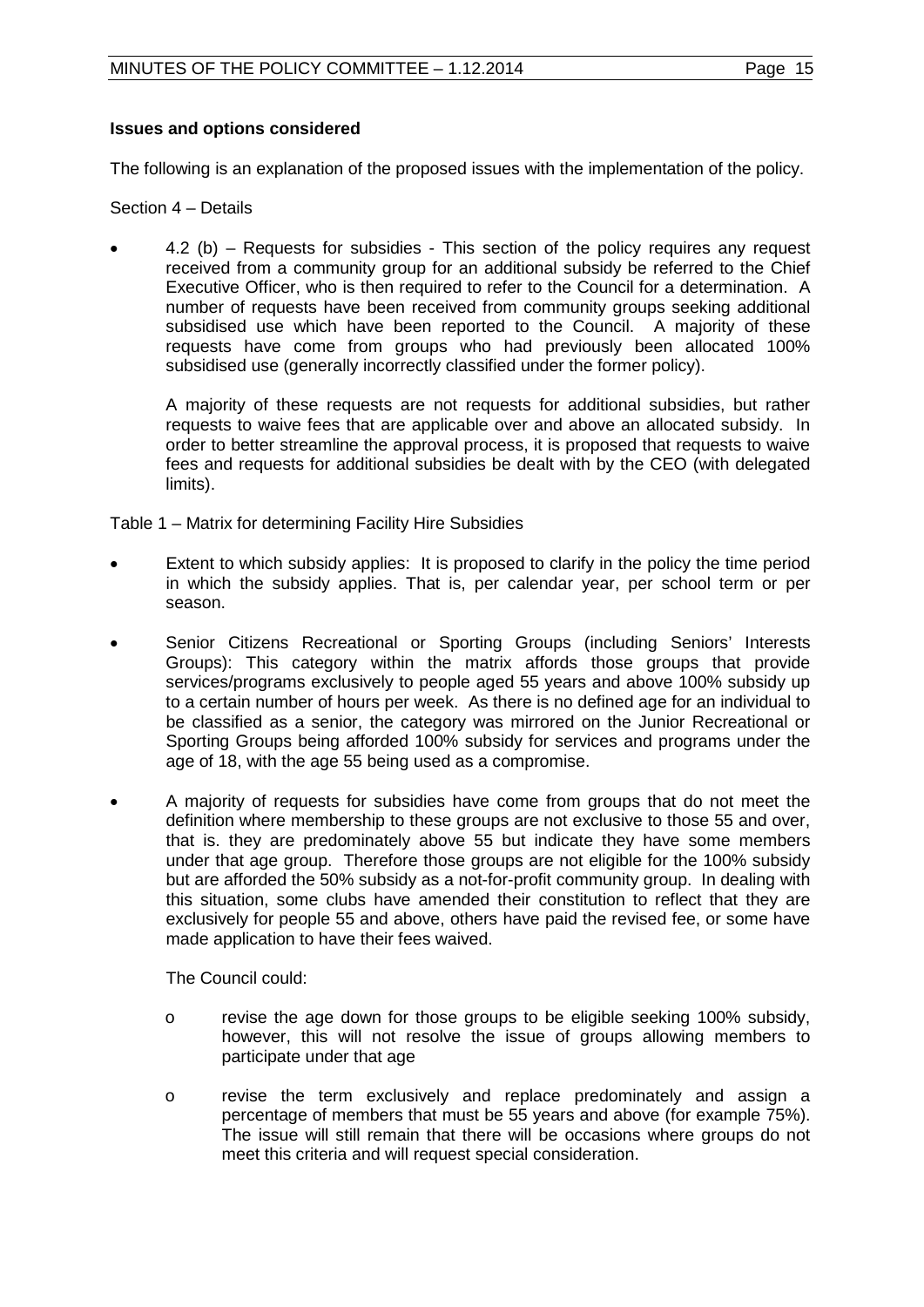# **Issues and options considered**

The following is an explanation of the proposed issues with the implementation of the policy.

Section 4 – Details

• 4.2 (b) – Requests for subsidies - This section of the policy requires any request received from a community group for an additional subsidy be referred to the Chief Executive Officer, who is then required to refer to the Council for a determination. A number of requests have been received from community groups seeking additional subsidised use which have been reported to the Council. A majority of these requests have come from groups who had previously been allocated 100% subsidised use (generally incorrectly classified under the former policy).

A majority of these requests are not requests for additional subsidies, but rather requests to waive fees that are applicable over and above an allocated subsidy. In order to better streamline the approval process, it is proposed that requests to waive fees and requests for additional subsidies be dealt with by the CEO (with delegated limits).

Table 1 – Matrix for determining Facility Hire Subsidies

- Extent to which subsidy applies: It is proposed to clarify in the policy the time period in which the subsidy applies. That is, per calendar year, per school term or per season.
- Senior Citizens Recreational or Sporting Groups (including Seniors' Interests Groups): This category within the matrix affords those groups that provide services/programs exclusively to people aged 55 years and above 100% subsidy up to a certain number of hours per week. As there is no defined age for an individual to be classified as a senior, the category was mirrored on the Junior Recreational or Sporting Groups being afforded 100% subsidy for services and programs under the age of 18, with the age 55 being used as a compromise.
- A majority of requests for subsidies have come from groups that do not meet the definition where membership to these groups are not exclusive to those 55 and over, that is. they are predominately above 55 but indicate they have some members under that age group. Therefore those groups are not eligible for the 100% subsidy but are afforded the 50% subsidy as a not-for-profit community group. In dealing with this situation, some clubs have amended their constitution to reflect that they are exclusively for people 55 and above, others have paid the revised fee, or some have made application to have their fees waived.

The Council could:

- o revise the age down for those groups to be eligible seeking 100% subsidy, however, this will not resolve the issue of groups allowing members to participate under that age
- o revise the term exclusively and replace predominately and assign a percentage of members that must be 55 years and above (for example 75%). The issue will still remain that there will be occasions where groups do not meet this criteria and will request special consideration.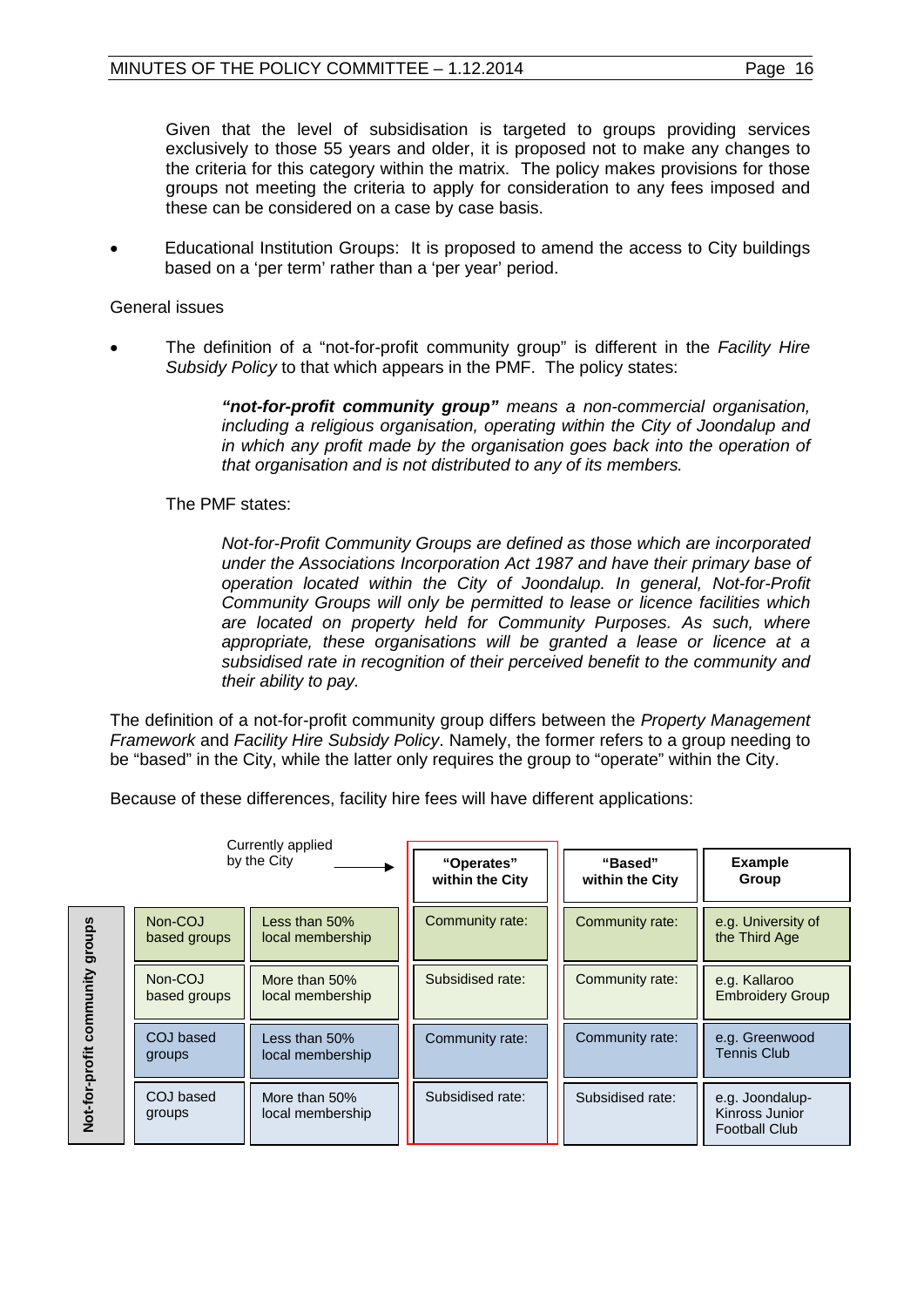Given that the level of subsidisation is targeted to groups providing services exclusively to those 55 years and older, it is proposed not to make any changes to the criteria for this category within the matrix. The policy makes provisions for those groups not meeting the criteria to apply for consideration to any fees imposed and these can be considered on a case by case basis.

• Educational Institution Groups: It is proposed to amend the access to City buildings based on a 'per term' rather than a 'per year' period.

# General issues

• The definition of a "not-for-profit community group" is different in the *Facility Hire Subsidy Policy* to that which appears in the PMF. The policy states:

> *"not-for-profit community group" means a non-commercial organisation, including a religious organisation, operating within the City of Joondalup and in which any profit made by the organisation goes back into the operation of that organisation and is not distributed to any of its members.*

The PMF states:

*Not-for-Profit Community Groups are defined as those which are incorporated under the Associations Incorporation Act 1987 and have their primary base of operation located within the City of Joondalup. In general, Not-for-Profit Community Groups will only be permitted to lease or licence facilities which are located on property held for Community Purposes. As such, where appropriate, these organisations will be granted a lease or licence at a subsidised rate in recognition of their perceived benefit to the community and their ability to pay.* 

The definition of a not-for-profit community group differs between the *Property Management Framework* and *Facility Hire Subsidy Policy*. Namely, the former refers to a group needing to be "based" in the City, while the latter only requires the group to "operate" within the City.

Because of these differences, facility hire fees will have different applications:

| Currently applied<br>by the City |                         | "Operates"<br>within the City        | "Based"<br>within the City | <b>Example</b><br>Group |                                                           |
|----------------------------------|-------------------------|--------------------------------------|----------------------------|-------------------------|-----------------------------------------------------------|
| groups                           | Non-COJ<br>based groups | Less than $50\%$<br>local membership | Community rate:            | Community rate:         | e.g. University of<br>the Third Age                       |
| unity                            | Non-COJ<br>based groups | More than 50%<br>local membership    | Subsidised rate:           | Community rate:         | e.g. Kallaroo<br><b>Embroidery Group</b>                  |
| ิ<br>รอยา<br>r-profit            | COJ based<br>groups     | Less than $50\%$<br>local membership | Community rate:            | Community rate:         | e.g. Greenwood<br><b>Tennis Club</b>                      |
| Not-for                          | COJ based<br>groups     | More than 50%<br>local membership    | Subsidised rate:           | Subsidised rate:        | e.g. Joondalup-<br>Kinross Junior<br><b>Football Club</b> |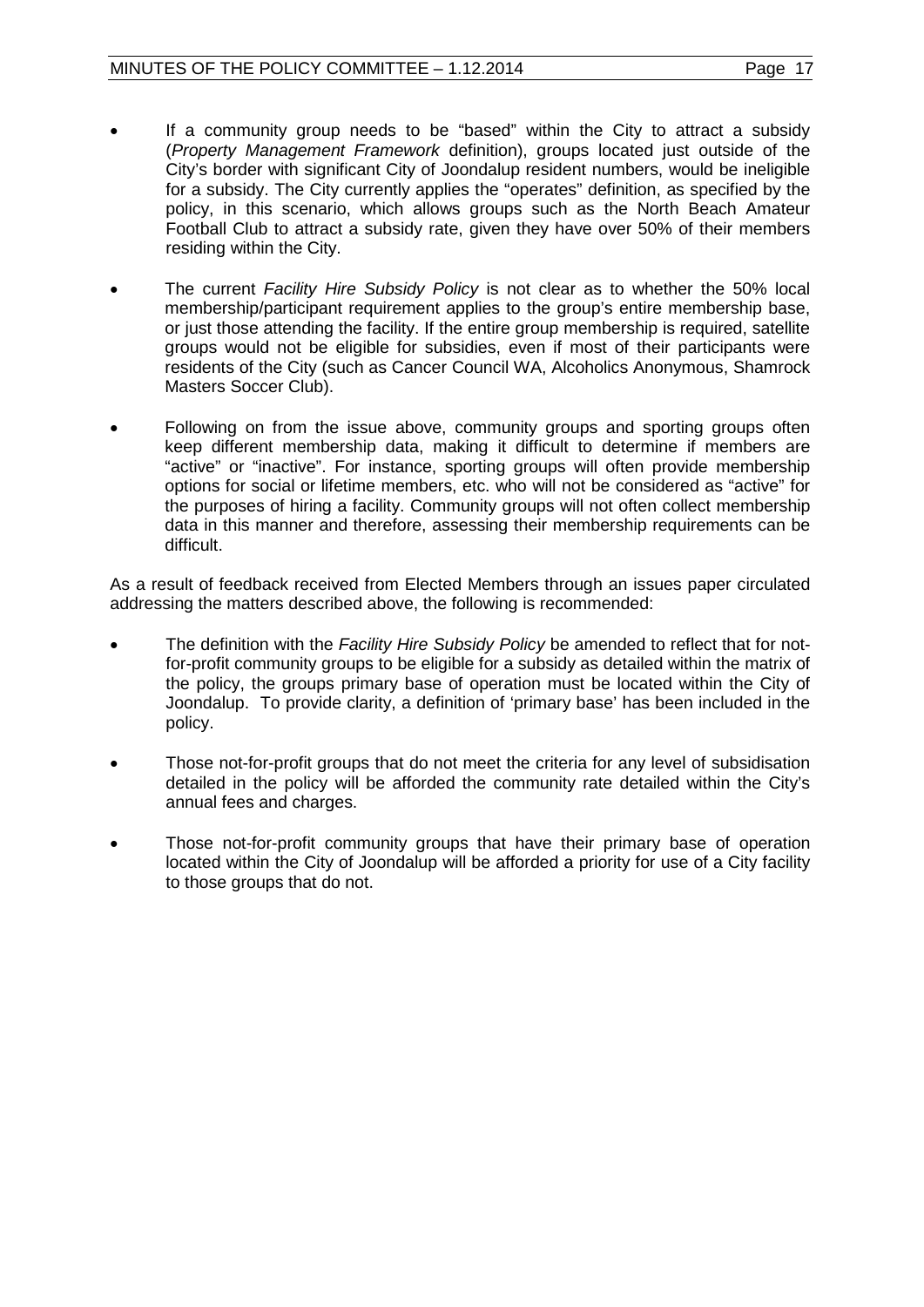- If a community group needs to be "based" within the City to attract a subsidy (*Property Management Framework* definition), groups located just outside of the City's border with significant City of Joondalup resident numbers, would be ineligible for a subsidy. The City currently applies the "operates" definition, as specified by the policy, in this scenario, which allows groups such as the North Beach Amateur Football Club to attract a subsidy rate, given they have over 50% of their members residing within the City.
- The current *Facility Hire Subsidy Policy* is not clear as to whether the 50% local membership/participant requirement applies to the group's entire membership base, or just those attending the facility. If the entire group membership is required, satellite groups would not be eligible for subsidies, even if most of their participants were residents of the City (such as Cancer Council WA, Alcoholics Anonymous, Shamrock Masters Soccer Club).
- Following on from the issue above, community groups and sporting groups often keep different membership data, making it difficult to determine if members are "active" or "inactive". For instance, sporting groups will often provide membership options for social or lifetime members, etc. who will not be considered as "active" for the purposes of hiring a facility. Community groups will not often collect membership data in this manner and therefore, assessing their membership requirements can be difficult.

As a result of feedback received from Elected Members through an issues paper circulated addressing the matters described above, the following is recommended:

- The definition with the *Facility Hire Subsidy Policy* be amended to reflect that for notfor-profit community groups to be eligible for a subsidy as detailed within the matrix of the policy, the groups primary base of operation must be located within the City of Joondalup. To provide clarity, a definition of 'primary base' has been included in the policy.
- Those not-for-profit groups that do not meet the criteria for any level of subsidisation detailed in the policy will be afforded the community rate detailed within the City's annual fees and charges.
- Those not-for-profit community groups that have their primary base of operation located within the City of Joondalup will be afforded a priority for use of a City facility to those groups that do not.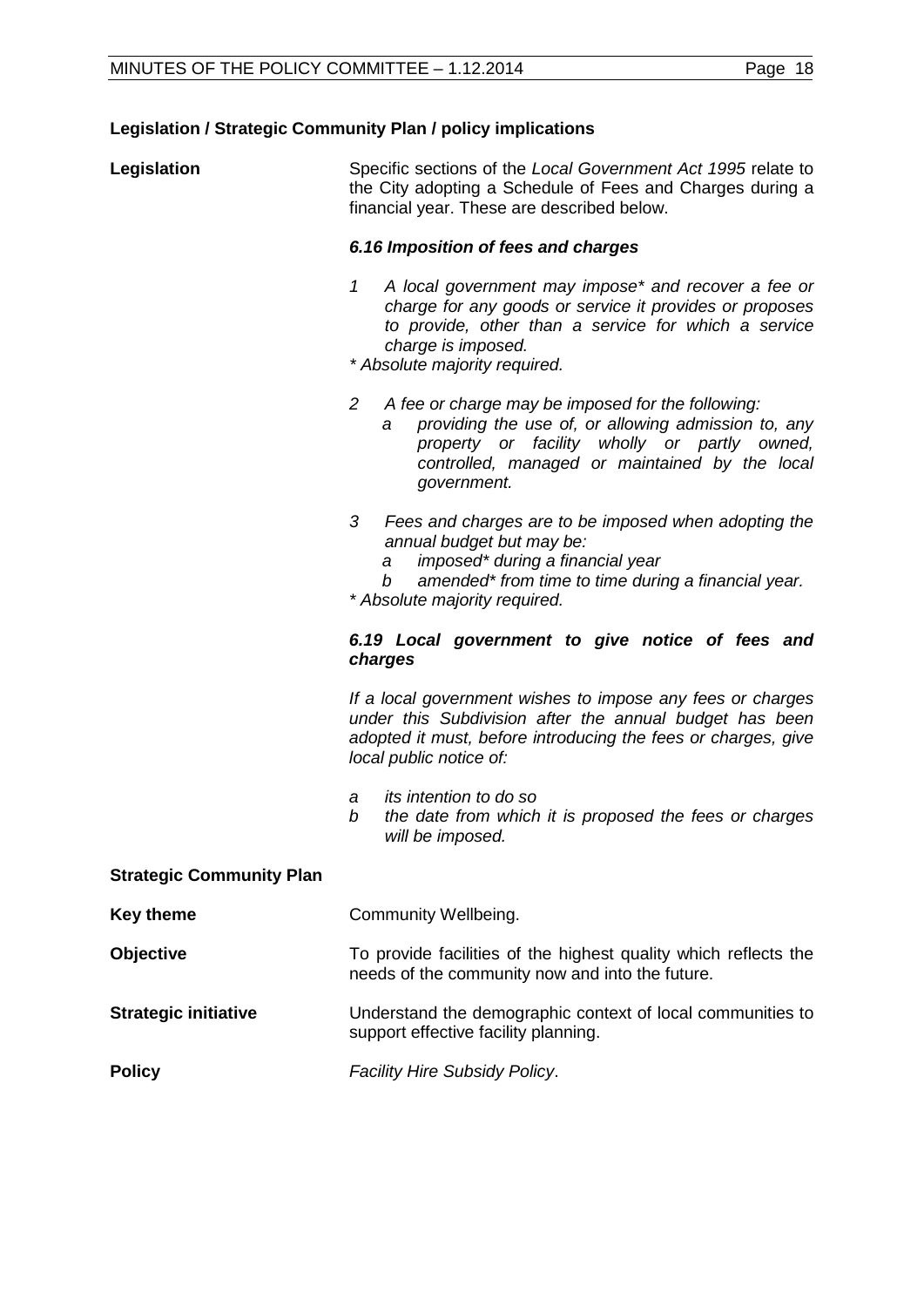# **Legislation / Strategic Community Plan / policy implications**

| Legislation | Specific sections of the Local Government Act 1995 relate to |
|-------------|--------------------------------------------------------------|
|             | the City adopting a Schedule of Fees and Charges during a    |
|             | financial year. These are described below.                   |

# *6.16 Imposition of fees and charges*

- *1 A local government may impose\* and recover a fee or charge for any goods or service it provides or proposes to provide, other than a service for which a service charge is imposed.*
- *\* Absolute majority required.*
- *2 A fee or charge may be imposed for the following:*
	- *a providing the use of, or allowing admission to, any property or facility wholly or partly owned, controlled, managed or maintained by the local government.*
- *3 Fees and charges are to be imposed when adopting the annual budget but may be:*
	- *a imposed\* during a financial year*
	- *b amended\* from time to time during a financial year.*

*\* Absolute majority required.*

#### *6.19 Local government to give notice of fees and charges*

*If a local government wishes to impose any fees or charges under this Subdivision after the annual budget has been adopted it must, before introducing the fees or charges, give local public notice of:*

- *a its intention to do so*
- *b the date from which it is proposed the fees or charges will be imposed.*

| <b>Strategic Community Plan</b> |                                                                                                                    |  |
|---------------------------------|--------------------------------------------------------------------------------------------------------------------|--|
| <b>Key theme</b>                | Community Wellbeing.                                                                                               |  |
| <b>Objective</b>                | To provide facilities of the highest quality which reflects the<br>needs of the community now and into the future. |  |
| <b>Strategic initiative</b>     | Understand the demographic context of local communities to<br>support effective facility planning.                 |  |
| <b>Policy</b>                   | <b>Facility Hire Subsidy Policy.</b>                                                                               |  |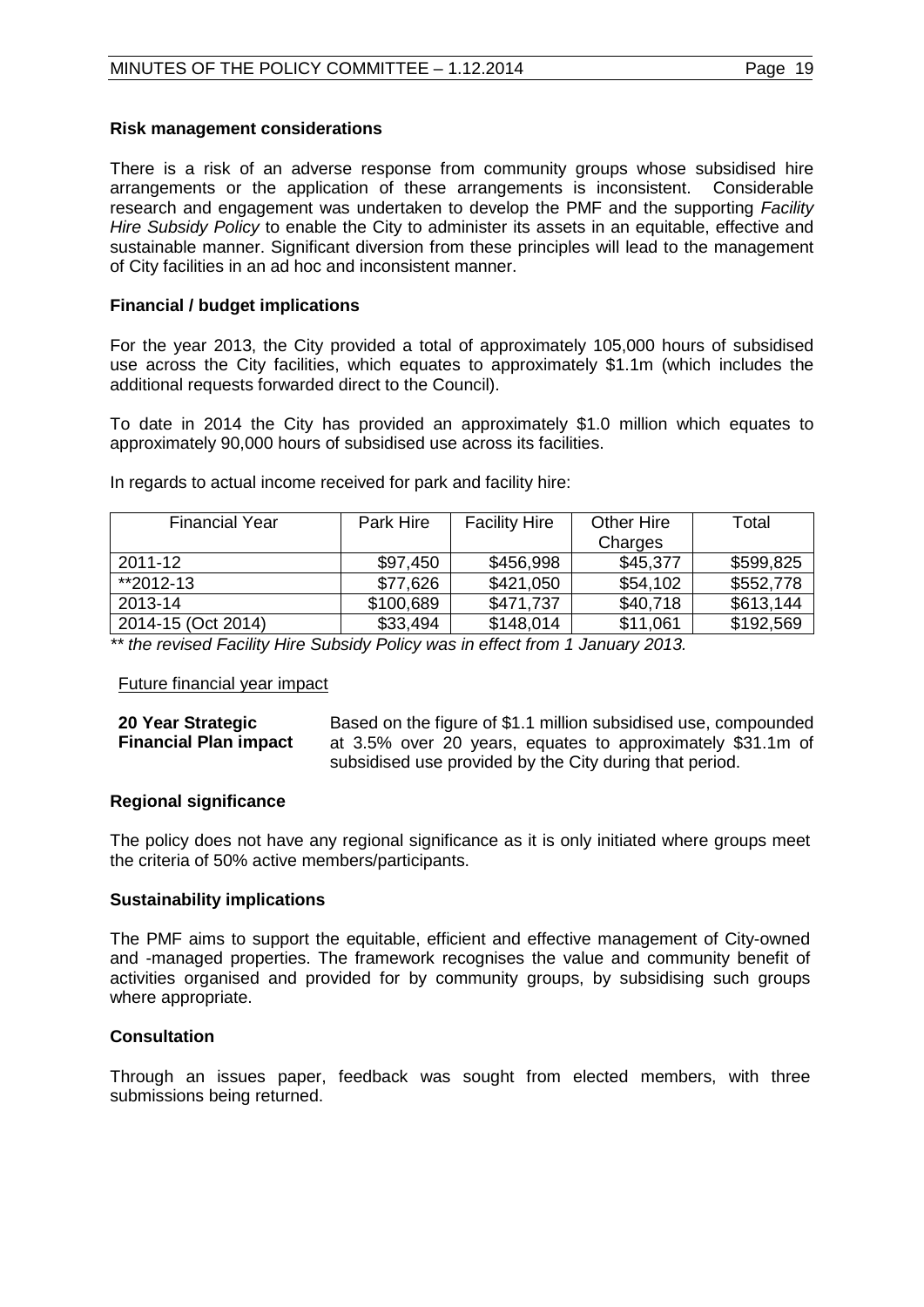#### **Risk management considerations**

There is a risk of an adverse response from community groups whose subsidised hire arrangements or the application of these arrangements is inconsistent. Considerable research and engagement was undertaken to develop the PMF and the supporting *Facility Hire Subsidy Policy* to enable the City to administer its assets in an equitable, effective and sustainable manner. Significant diversion from these principles will lead to the management of City facilities in an ad hoc and inconsistent manner.

#### **Financial / budget implications**

For the year 2013, the City provided a total of approximately 105,000 hours of subsidised use across the City facilities, which equates to approximately \$1.1m (which includes the additional requests forwarded direct to the Council).

To date in 2014 the City has provided an approximately \$1.0 million which equates to approximately 90,000 hours of subsidised use across its facilities.

| <b>Financial Year</b> | Park Hire | <b>Facility Hire</b> | Other Hire | Total     |
|-----------------------|-----------|----------------------|------------|-----------|
|                       |           |                      | Charges    |           |
| 2011-12               | \$97,450  | \$456,998            | \$45,377   | \$599,825 |
| **2012-13             | \$77,626  | \$421,050            | \$54,102   | \$552,778 |
| 2013-14               | \$100,689 | \$471,737            | \$40,718   | \$613,144 |
| 2014-15 (Oct 2014)    | \$33,494  | \$148,014            | \$11,061   | \$192,569 |

In regards to actual income received for park and facility hire:

*\*\* the revised Facility Hire Subsidy Policy was in effect from 1 January 2013.*

#### Future financial year impact

| 20 Year Strategic            | Based on the figure of \$1.1 million subsidised use, compounded |
|------------------------------|-----------------------------------------------------------------|
| <b>Financial Plan impact</b> | at 3.5% over 20 years, equates to approximately \$31.1m of      |
|                              | subsidised use provided by the City during that period.         |

# **Regional significance**

The policy does not have any regional significance as it is only initiated where groups meet the criteria of 50% active members/participants.

#### **Sustainability implications**

The PMF aims to support the equitable, efficient and effective management of City-owned and -managed properties. The framework recognises the value and community benefit of activities organised and provided for by community groups, by subsidising such groups where appropriate.

# **Consultation**

Through an issues paper, feedback was sought from elected members, with three submissions being returned.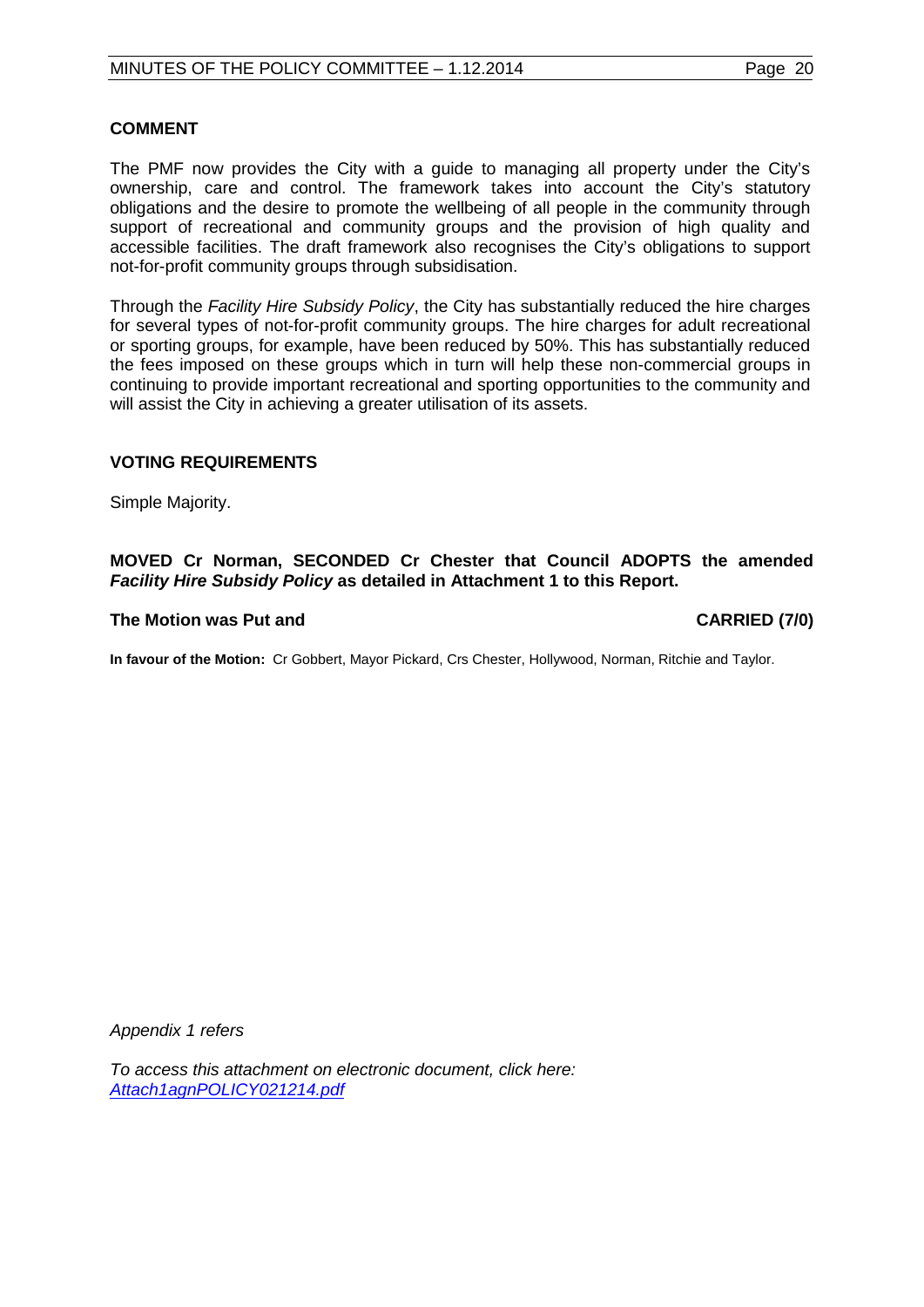#### **COMMENT**

The PMF now provides the City with a guide to managing all property under the City's ownership, care and control. The framework takes into account the City's statutory obligations and the desire to promote the wellbeing of all people in the community through support of recreational and community groups and the provision of high quality and accessible facilities. The draft framework also recognises the City's obligations to support not-for-profit community groups through subsidisation.

Through the *Facility Hire Subsidy Policy*, the City has substantially reduced the hire charges for several types of not-for-profit community groups. The hire charges for adult recreational or sporting groups, for example, have been reduced by 50%. This has substantially reduced the fees imposed on these groups which in turn will help these non-commercial groups in continuing to provide important recreational and sporting opportunities to the community and will assist the City in achieving a greater utilisation of its assets.

#### **VOTING REQUIREMENTS**

Simple Majority.

#### **MOVED Cr Norman, SECONDED Cr Chester that Council ADOPTS the amended**  *Facility Hire Subsidy Policy* **as detailed in Attachment 1 to this Report.**

#### The Motion was Put and **CARRIED** (7/0)

**In favour of the Motion:** Cr Gobbert, Mayor Pickard, Crs Chester, Hollywood, Norman, Ritchie and Taylor.

*Appendix 1 refers*

*To access this attachment on electronic document, click here: [Attach1agnPOLICY021214.pdf](http://www.joondalup.wa.gov.au/files/committees/POLI/2014/Attach1agnPOLICY021214.pdf)*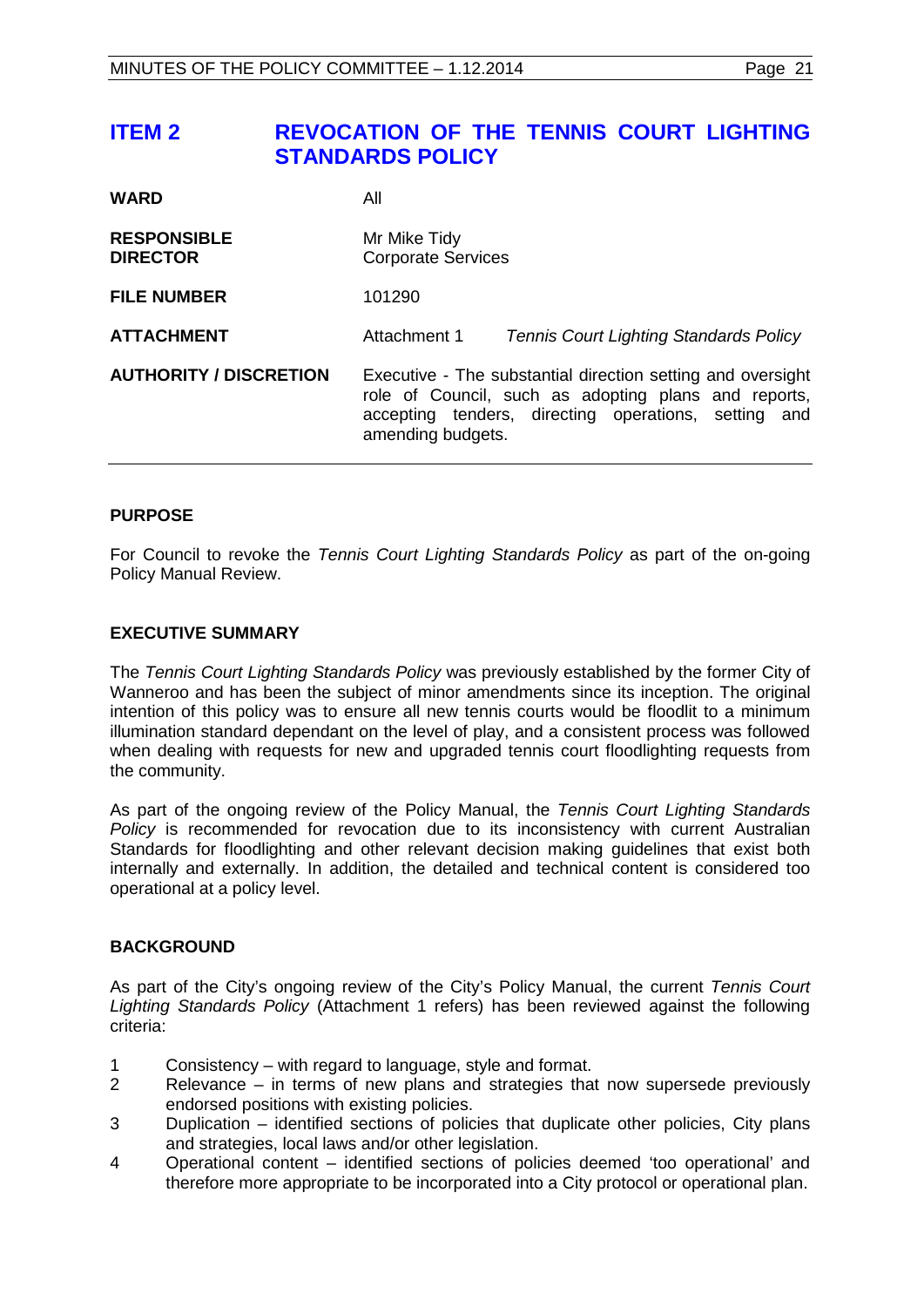# <span id="page-20-0"></span>**ITEM 2 REVOCATION OF THE TENNIS COURT LIGHTING STANDARDS POLICY**

| <b>WARD</b>                           | All                                                                                                                                                                                              |                                               |  |
|---------------------------------------|--------------------------------------------------------------------------------------------------------------------------------------------------------------------------------------------------|-----------------------------------------------|--|
| <b>RESPONSIBLE</b><br><b>DIRECTOR</b> | Mr Mike Tidy<br><b>Corporate Services</b>                                                                                                                                                        |                                               |  |
| <b>FILE NUMBER</b>                    | 101290                                                                                                                                                                                           |                                               |  |
| <b>ATTACHMENT</b>                     | Attachment 1                                                                                                                                                                                     | <b>Tennis Court Lighting Standards Policy</b> |  |
| <b>AUTHORITY / DISCRETION</b>         | Executive - The substantial direction setting and oversight<br>role of Council, such as adopting plans and reports,<br>accepting tenders, directing operations, setting and<br>amending budgets. |                                               |  |

# **PURPOSE**

For Council to revoke the *Tennis Court Lighting Standards Policy* as part of the on-going Policy Manual Review.

#### **EXECUTIVE SUMMARY**

The *Tennis Court Lighting Standards Policy* was previously established by the former City of Wanneroo and has been the subject of minor amendments since its inception. The original intention of this policy was to ensure all new tennis courts would be floodlit to a minimum illumination standard dependant on the level of play, and a consistent process was followed when dealing with requests for new and upgraded tennis court floodlighting requests from the community.

As part of the ongoing review of the Policy Manual, the *Tennis Court Lighting Standards Policy* is recommended for revocation due to its inconsistency with current Australian Standards for floodlighting and other relevant decision making guidelines that exist both internally and externally. In addition, the detailed and technical content is considered too operational at a policy level.

#### **BACKGROUND**

As part of the City's ongoing review of the City's Policy Manual, the current *Tennis Court Lighting Standards Policy* (Attachment 1 refers) has been reviewed against the following criteria:

- 1 Consistency with regard to language, style and format.
- 2 Relevance in terms of new plans and strategies that now supersede previously endorsed positions with existing policies.
- 3 Duplication identified sections of policies that duplicate other policies, City plans and strategies, local laws and/or other legislation.
- 4 Operational content identified sections of policies deemed 'too operational' and therefore more appropriate to be incorporated into a City protocol or operational plan.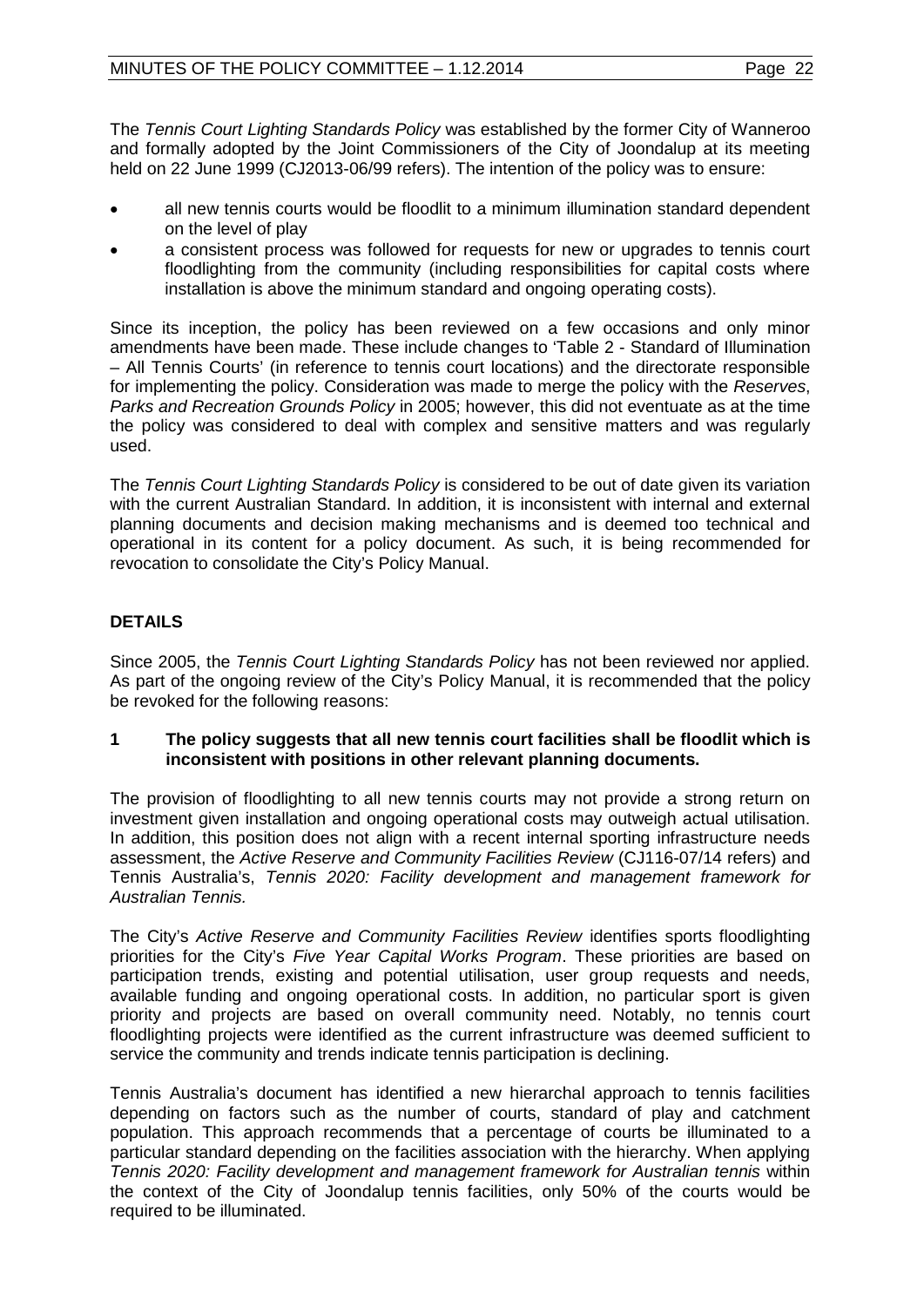The *Tennis Court Lighting Standards Policy* was established by the former City of Wanneroo and formally adopted by the Joint Commissioners of the City of Joondalup at its meeting held on 22 June 1999 (CJ2013-06/99 refers). The intention of the policy was to ensure:

- all new tennis courts would be floodlit to a minimum illumination standard dependent on the level of play
- a consistent process was followed for requests for new or upgrades to tennis court floodlighting from the community (including responsibilities for capital costs where installation is above the minimum standard and ongoing operating costs).

Since its inception, the policy has been reviewed on a few occasions and only minor amendments have been made. These include changes to 'Table 2 - Standard of Illumination – All Tennis Courts' (in reference to tennis court locations) and the directorate responsible for implementing the policy. Consideration was made to merge the policy with the *Reserves*, *Parks and Recreation Grounds Policy* in 2005; however, this did not eventuate as at the time the policy was considered to deal with complex and sensitive matters and was regularly used.

The *Tennis Court Lighting Standards Policy* is considered to be out of date given its variation with the current Australian Standard. In addition, it is inconsistent with internal and external planning documents and decision making mechanisms and is deemed too technical and operational in its content for a policy document. As such, it is being recommended for revocation to consolidate the City's Policy Manual.

# **DETAILS**

Since 2005, the *Tennis Court Lighting Standards Policy* has not been reviewed nor applied. As part of the ongoing review of the City's Policy Manual, it is recommended that the policy be revoked for the following reasons:

#### **1 The policy suggests that all new tennis court facilities shall be floodlit which is inconsistent with positions in other relevant planning documents.**

The provision of floodlighting to all new tennis courts may not provide a strong return on investment given installation and ongoing operational costs may outweigh actual utilisation. In addition, this position does not align with a recent internal sporting infrastructure needs assessment, the *Active Reserve and Community Facilities Review* (CJ116-07/14 refers) and Tennis Australia's, *Tennis 2020: Facility development and management framework for Australian Tennis.*

The City's *Active Reserve and Community Facilities Review* identifies sports floodlighting priorities for the City's *Five Year Capital Works Program*. These priorities are based on participation trends, existing and potential utilisation, user group requests and needs, available funding and ongoing operational costs. In addition, no particular sport is given priority and projects are based on overall community need. Notably, no tennis court floodlighting projects were identified as the current infrastructure was deemed sufficient to service the community and trends indicate tennis participation is declining.

Tennis Australia's document has identified a new hierarchal approach to tennis facilities depending on factors such as the number of courts, standard of play and catchment population. This approach recommends that a percentage of courts be illuminated to a particular standard depending on the facilities association with the hierarchy. When applying *Tennis 2020: Facility development and management framework for Australian tennis* within the context of the City of Joondalup tennis facilities, only 50% of the courts would be required to be illuminated.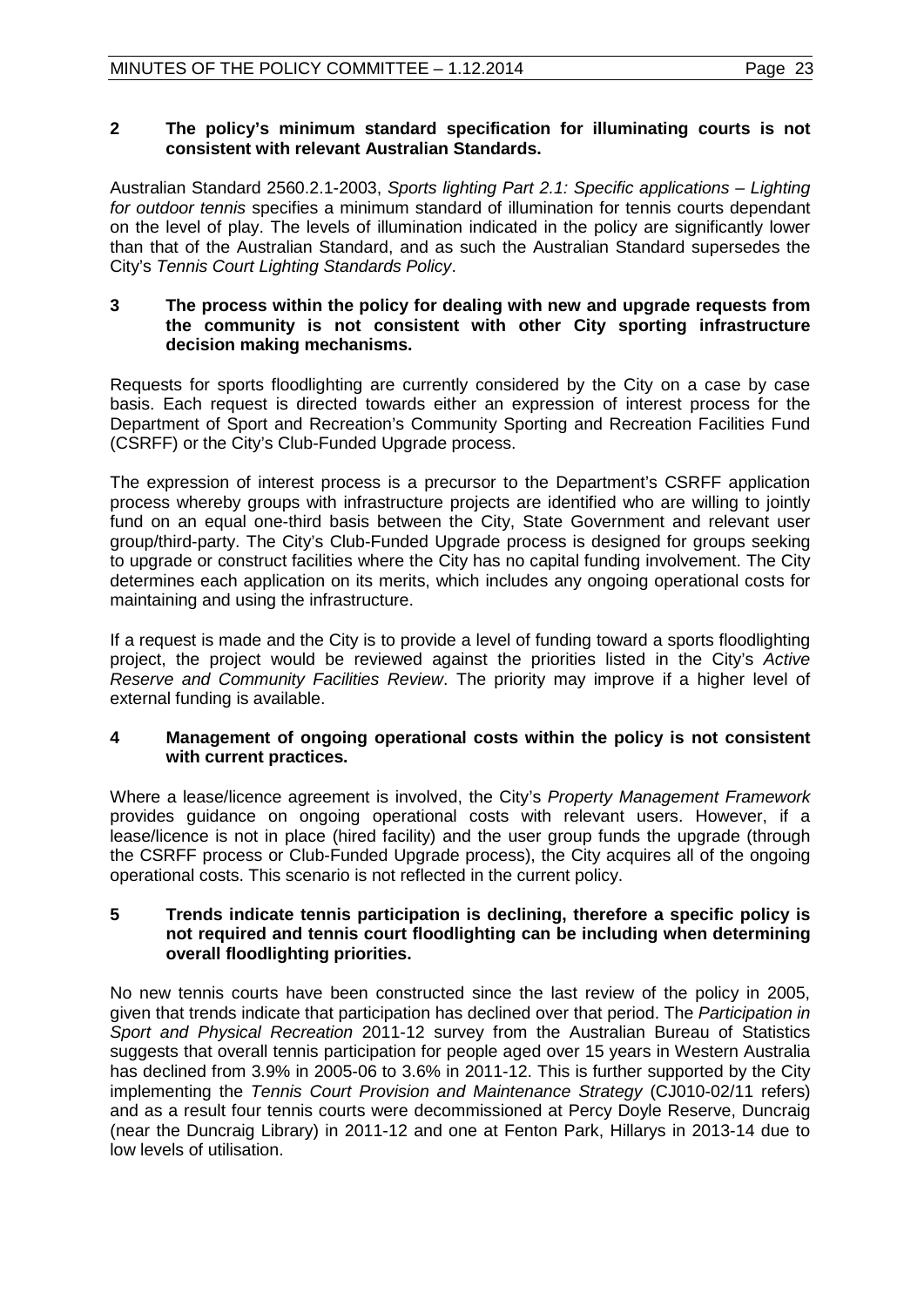# **2 The policy's minimum standard specification for illuminating courts is not consistent with relevant Australian Standards.**

Australian Standard 2560.2.1-2003, *Sports lighting Part 2.1: Specific applications – Lighting for outdoor tennis* specifies a minimum standard of illumination for tennis courts dependant on the level of play. The levels of illumination indicated in the policy are significantly lower than that of the Australian Standard, and as such the Australian Standard supersedes the City's *Tennis Court Lighting Standards Policy*.

# **3 The process within the policy for dealing with new and upgrade requests from the community is not consistent with other City sporting infrastructure decision making mechanisms.**

Requests for sports floodlighting are currently considered by the City on a case by case basis. Each request is directed towards either an expression of interest process for the Department of Sport and Recreation's Community Sporting and Recreation Facilities Fund (CSRFF) or the City's Club-Funded Upgrade process.

The expression of interest process is a precursor to the Department's CSRFF application process whereby groups with infrastructure projects are identified who are willing to jointly fund on an equal one-third basis between the City, State Government and relevant user group/third-party. The City's Club-Funded Upgrade process is designed for groups seeking to upgrade or construct facilities where the City has no capital funding involvement. The City determines each application on its merits, which includes any ongoing operational costs for maintaining and using the infrastructure.

If a request is made and the City is to provide a level of funding toward a sports floodlighting project, the project would be reviewed against the priorities listed in the City's *Active Reserve and Community Facilities Review*. The priority may improve if a higher level of external funding is available.

# **4 Management of ongoing operational costs within the policy is not consistent with current practices.**

Where a lease/licence agreement is involved, the City's *Property Management Framework* provides guidance on ongoing operational costs with relevant users. However, if a lease/licence is not in place (hired facility) and the user group funds the upgrade (through the CSRFF process or Club-Funded Upgrade process), the City acquires all of the ongoing operational costs. This scenario is not reflected in the current policy.

#### **5 Trends indicate tennis participation is declining, therefore a specific policy is not required and tennis court floodlighting can be including when determining overall floodlighting priorities.**

No new tennis courts have been constructed since the last review of the policy in 2005, given that trends indicate that participation has declined over that period. The *Participation in Sport and Physical Recreation* 2011-12 survey from the Australian Bureau of Statistics suggests that overall tennis participation for people aged over 15 years in Western Australia has declined from 3.9% in 2005-06 to 3.6% in 2011-12. This is further supported by the City implementing the *Tennis Court Provision and Maintenance Strategy* (CJ010-02/11 refers) and as a result four tennis courts were decommissioned at Percy Doyle Reserve, Duncraig (near the Duncraig Library) in 2011-12 and one at Fenton Park, Hillarys in 2013-14 due to low levels of utilisation.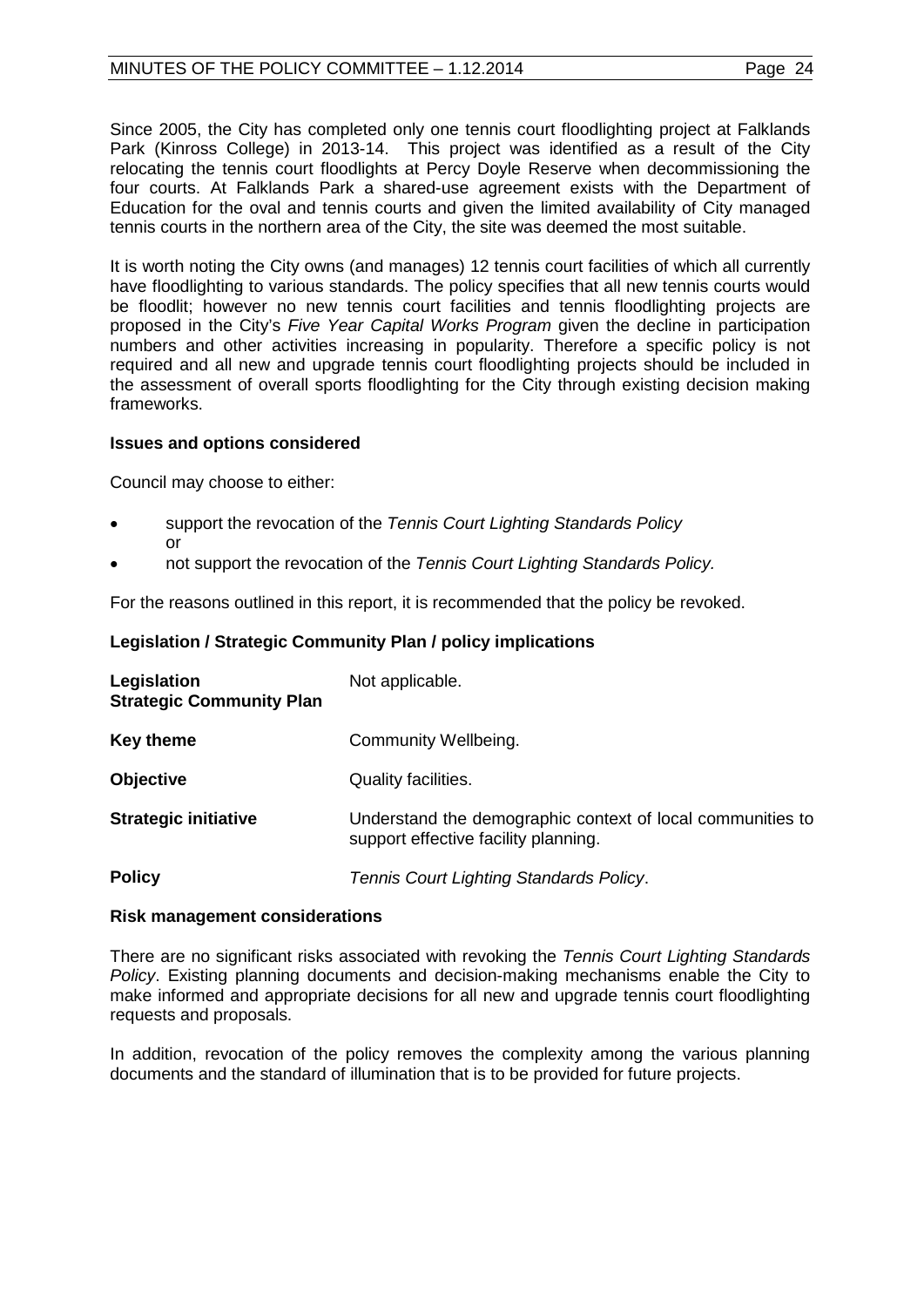# MINUTES OF THE POLICY COMMITTEE – 1.12.2014 Page 24

Since 2005, the City has completed only one tennis court floodlighting project at Falklands Park (Kinross College) in 2013-14. This project was identified as a result of the City relocating the tennis court floodlights at Percy Doyle Reserve when decommissioning the four courts. At Falklands Park a shared-use agreement exists with the Department of Education for the oval and tennis courts and given the limited availability of City managed tennis courts in the northern area of the City, the site was deemed the most suitable.

It is worth noting the City owns (and manages) 12 tennis court facilities of which all currently have floodlighting to various standards. The policy specifies that all new tennis courts would be floodlit; however no new tennis court facilities and tennis floodlighting projects are proposed in the City's *Five Year Capital Works Program* given the decline in participation numbers and other activities increasing in popularity. Therefore a specific policy is not required and all new and upgrade tennis court floodlighting projects should be included in the assessment of overall sports floodlighting for the City through existing decision making frameworks.

#### **Issues and options considered**

Council may choose to either:

- support the revocation of the *Tennis Court Lighting Standards Policy* or
- not support the revocation of the *Tennis Court Lighting Standards Policy.*

For the reasons outlined in this report, it is recommended that the policy be revoked.

#### **Legislation / Strategic Community Plan / policy implications**

| Legislation<br><b>Strategic Community Plan</b> | Not applicable.                                                                                    |
|------------------------------------------------|----------------------------------------------------------------------------------------------------|
| <b>Key theme</b>                               | Community Wellbeing.                                                                               |
| <b>Objective</b>                               | Quality facilities.                                                                                |
| <b>Strategic initiative</b>                    | Understand the demographic context of local communities to<br>support effective facility planning. |
| <b>Policy</b>                                  | Tennis Court Lighting Standards Policy.                                                            |

#### **Risk management considerations**

There are no significant risks associated with revoking the *Tennis Court Lighting Standards Policy*. Existing planning documents and decision-making mechanisms enable the City to make informed and appropriate decisions for all new and upgrade tennis court floodlighting requests and proposals.

In addition, revocation of the policy removes the complexity among the various planning documents and the standard of illumination that is to be provided for future projects.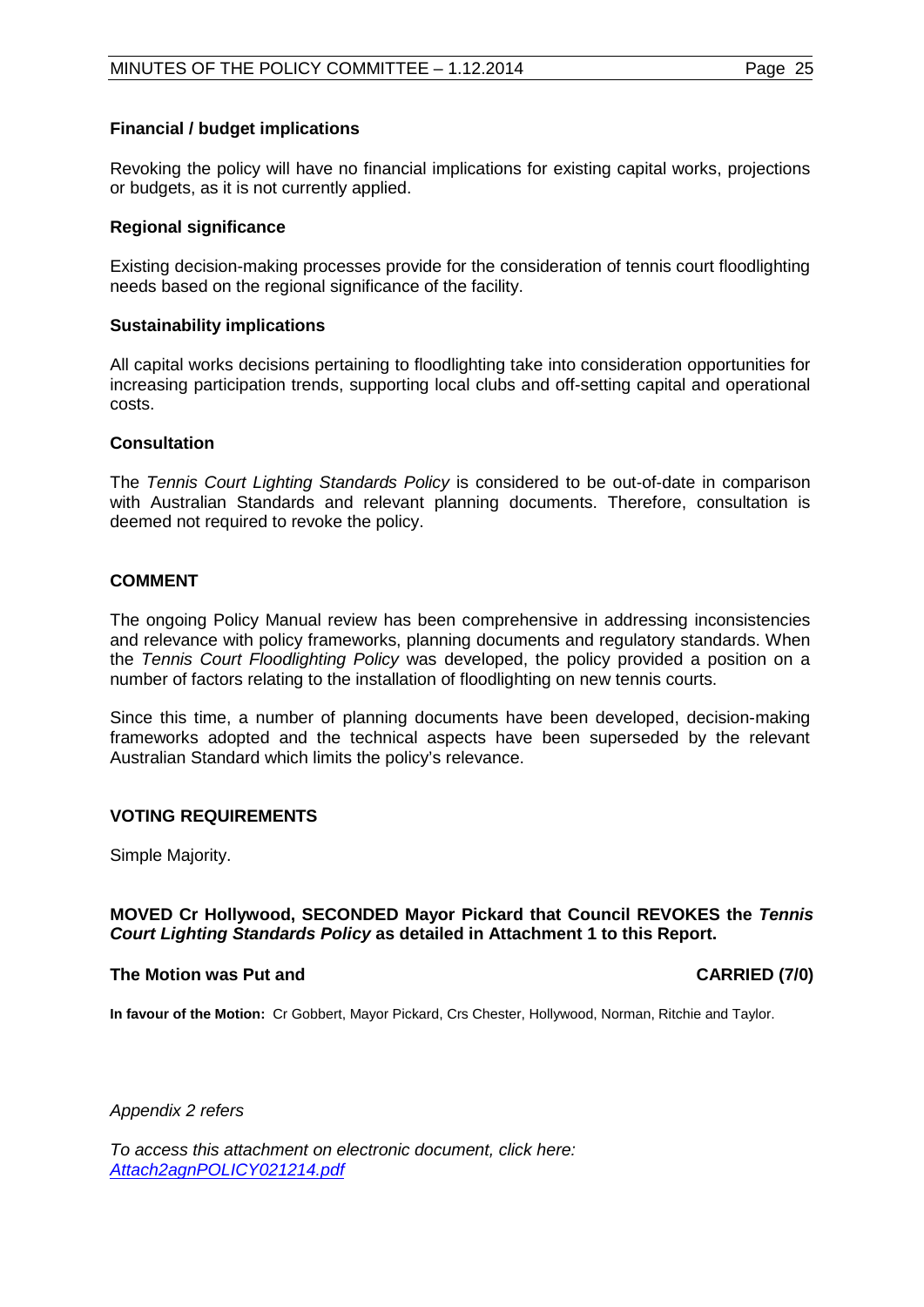# **Financial / budget implications**

Revoking the policy will have no financial implications for existing capital works, projections or budgets, as it is not currently applied.

#### **Regional significance**

Existing decision-making processes provide for the consideration of tennis court floodlighting needs based on the regional significance of the facility.

#### **Sustainability implications**

All capital works decisions pertaining to floodlighting take into consideration opportunities for increasing participation trends, supporting local clubs and off-setting capital and operational costs.

#### **Consultation**

The *Tennis Court Lighting Standards Policy* is considered to be out-of-date in comparison with Australian Standards and relevant planning documents. Therefore, consultation is deemed not required to revoke the policy.

# **COMMENT**

The ongoing Policy Manual review has been comprehensive in addressing inconsistencies and relevance with policy frameworks, planning documents and regulatory standards. When the *Tennis Court Floodlighting Policy* was developed, the policy provided a position on a number of factors relating to the installation of floodlighting on new tennis courts.

Since this time, a number of planning documents have been developed, decision-making frameworks adopted and the technical aspects have been superseded by the relevant Australian Standard which limits the policy's relevance.

# **VOTING REQUIREMENTS**

Simple Majority.

# **MOVED Cr Hollywood, SECONDED Mayor Pickard that Council REVOKES the** *Tennis Court Lighting Standards Policy* **as detailed in Attachment 1 to this Report.**

#### The Motion was Put and **CARRIED** (7/0)

**In favour of the Motion:** Cr Gobbert, Mayor Pickard, Crs Chester, Hollywood, Norman, Ritchie and Taylor.

*Appendix 2 refers*

*To access this attachment on electronic document, click here: [Attach2agnPOLICY021214.pdf](http://www.joondalup.wa.gov.au/files/committees/POLI/2014/Attach2agnPOLICY021214.pdf)*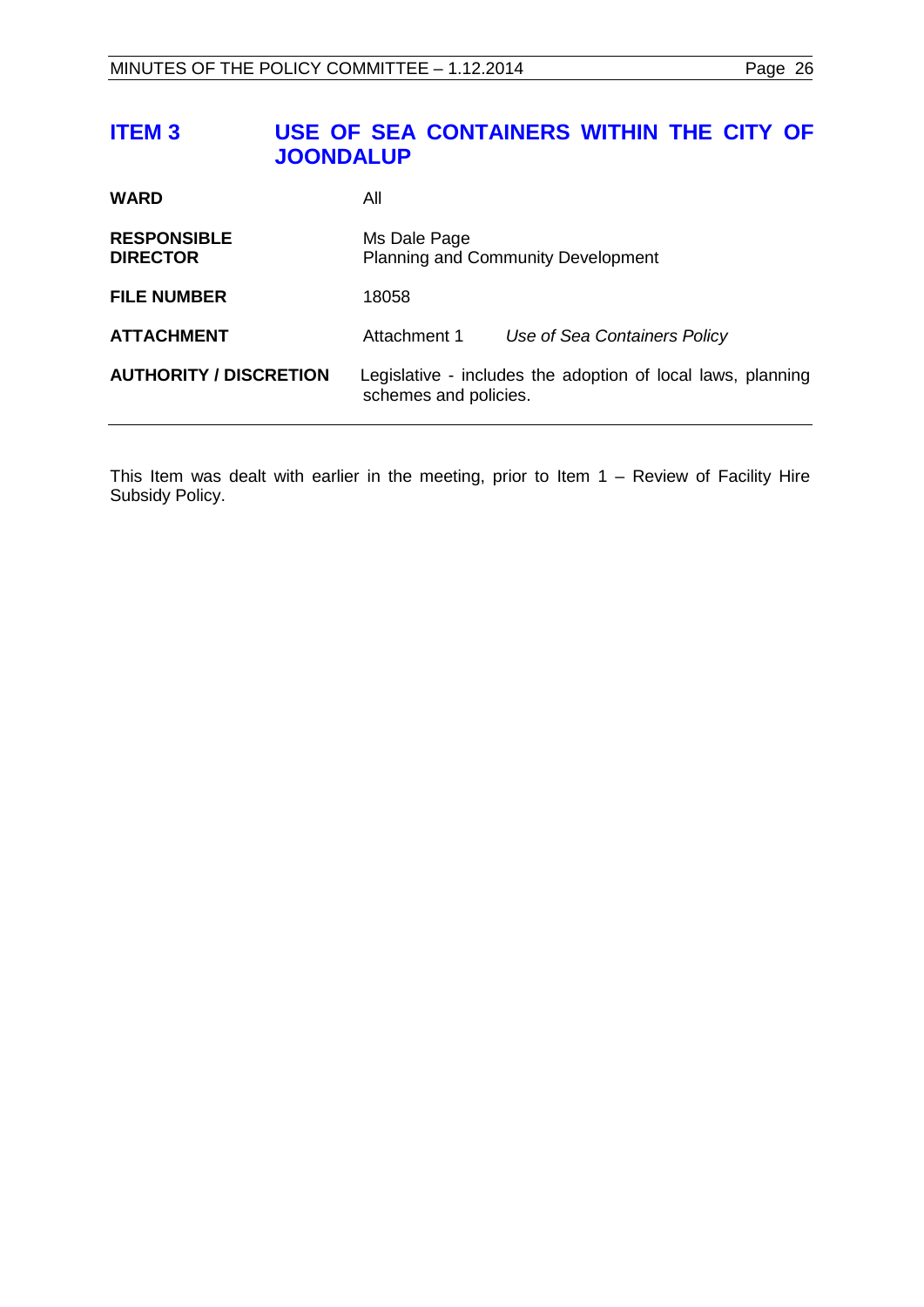# <span id="page-25-0"></span>**ITEM 3 USE OF SEA CONTAINERS WITHIN THE CITY OF JOONDALUP**

| <b>WARD</b>                           | All                                                                                  |                              |  |
|---------------------------------------|--------------------------------------------------------------------------------------|------------------------------|--|
| <b>RESPONSIBLE</b><br><b>DIRECTOR</b> | Ms Dale Page<br><b>Planning and Community Development</b>                            |                              |  |
| <b>FILE NUMBER</b>                    | 18058                                                                                |                              |  |
| <b>ATTACHMENT</b>                     | Attachment 1                                                                         | Use of Sea Containers Policy |  |
| <b>AUTHORITY / DISCRETION</b>         | Legislative - includes the adoption of local laws, planning<br>schemes and policies. |                              |  |

This Item was dealt with earlier in the meeting, prior to Item 1 – Review of Facility Hire Subsidy Policy.